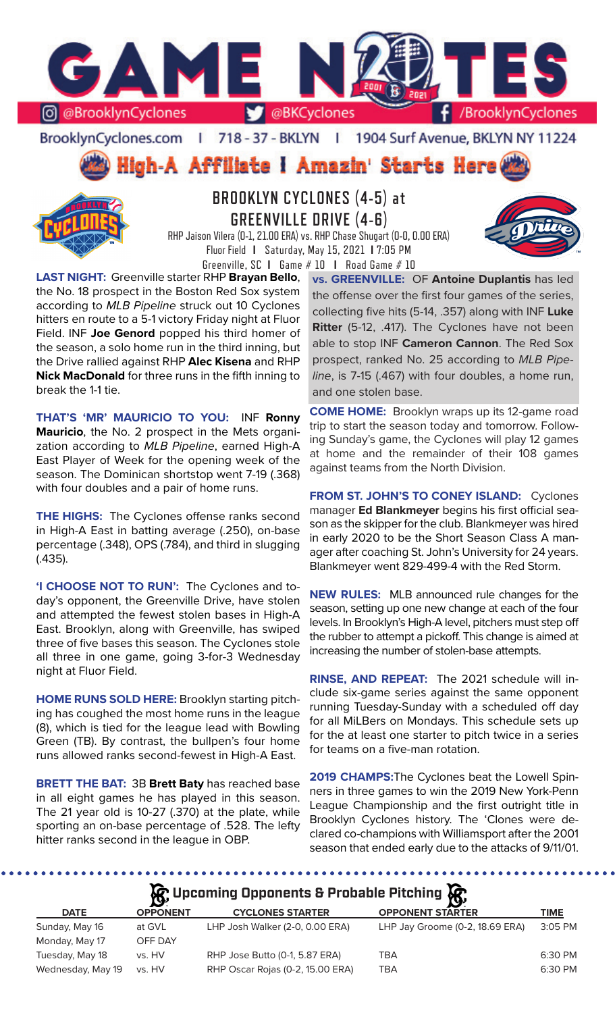

BrooklynCyclones.com | 718 - 37 - BKLYN | 1904 Surf Avenue, BKLYN NY 11224

High-A Affiliate i Amazin' Starts Here



# **BROOKLYN CYCLONES (4-5) at GREENVILLE DRIVE (4-6)**



RHP Jaison Vilera (0-1, 21.00 ERA) vs. RHP Chase Shugart (0-0, 0.00 ERA) Fluor Field **I** Saturday, May 15, 2021 **I** 7:05 PM Greenville, SC **I** Game # 10 **I** Road Game # 10

**LAST NIGHT:** Greenville starter RHP **Brayan Bello**, the No. 18 prospect in the Boston Red Sox system according to *MLB Pipeline* struck out 10 Cyclones hitters en route to a 5-1 victory Friday night at Fluor Field. INF **Joe Genord** popped his third homer of the season, a solo home run in the third inning, but the Drive rallied against RHP **Alec Kisena** and RHP **Nick MacDonald** for three runs in the fifth inning to break the 1-1 tie.

**THAT'S 'MR' MAURICIO TO YOU:** INF **Ronny Mauricio**, the No. 2 prospect in the Mets organization according to *MLB Pipeline*, earned High-A East Player of Week for the opening week of the season. The Dominican shortstop went 7-19 (.368) with four doubles and a pair of home runs.

**THE HIGHS:** The Cyclones offense ranks second in High-A East in batting average (.250), on-base percentage (.348), OPS (.784), and third in slugging (.435).

**'I CHOOSE NOT TO RUN':** The Cyclones and today's opponent, the Greenville Drive, have stolen and attempted the fewest stolen bases in High-A East. Brooklyn, along with Greenville, has swiped three of five bases this season. The Cyclones stole all three in one game, going 3-for-3 Wednesday night at Fluor Field.

**HOME RUNS SOLD HERE:** Brooklyn starting pitching has coughed the most home runs in the league (8), which is tied for the league lead with Bowling Green (TB). By contrast, the bullpen's four home runs allowed ranks second-fewest in High-A East.

**BRETT THE BAT:** 3B **Brett Baty** has reached base in all eight games he has played in this season. The 21 year old is 10-27 (.370) at the plate, while sporting an on-base percentage of .528. The lefty hitter ranks second in the league in OBP.

. . . . . . . . . . . . . . . . . .

**vs. GREENVILLE:** OF **Antoine Duplantis** has led the offense over the first four games of the series, collecting five hits (5-14, .357) along with INF **Luke Ritter** (5-12, .417). The Cyclones have not been able to stop INF **Cameron Cannon**. The Red Sox prospect, ranked No. 25 according to *MLB Pipeline*, is 7-15 (.467) with four doubles, a home run, and one stolen base.

**COME HOME:** Brooklyn wraps up its 12-game road trip to start the season today and tomorrow. Following Sunday's game, the Cyclones will play 12 games at home and the remainder of their 108 games against teams from the North Division.

**FROM ST. JOHN'S TO CONEY ISLAND:** Cyclones manager **Ed Blankmeyer** begins his first official season as the skipper for the club. Blankmeyer was hired in early 2020 to be the Short Season Class A manager after coaching St. John's University for 24 years. Blankmeyer went 829-499-4 with the Red Storm.

**NEW RULES:** MLB announced rule changes for the season, setting up one new change at each of the four levels. In Brooklyn's High-A level, pitchers must step off the rubber to attempt a pickoff. This change is aimed at increasing the number of stolen-base attempts.

**RINSE, AND REPEAT:** The 2021 schedule will include six-game series against the same opponent running Tuesday-Sunday with a scheduled off day for all MiLBers on Mondays. This schedule sets up for the at least one starter to pitch twice in a series for teams on a five-man rotation.

**2019 CHAMPS:**The Cyclones beat the Lowell Spinners in three games to win the 2019 New York-Penn League Championship and the first outright title in Brooklyn Cyclones history. The 'Clones were declared co-champions with Williamsport after the 2001 season that ended early due to the attacks of 9/11/01.

*<u>C* Upcoming Opponents & Probable Pitching  $C$ </u>

|                   | $\mathbf{B}$    | --                               | - 19                            |         |
|-------------------|-----------------|----------------------------------|---------------------------------|---------|
| <b>DATE</b>       | <b>OPPONENT</b> | <b>CYCLONES STARTER</b>          | <b>OPPONENT STARTER</b>         | TIME    |
| Sunday, May 16    | at GVL          | LHP Josh Walker (2-0, 0.00 ERA)  | LHP Jay Groome (0-2, 18.69 ERA) | 3:05 PM |
| Monday, May 17    | OFF DAY         |                                  |                                 |         |
| Tuesday, May 18   | vs. HV          | RHP Jose Butto (0-1, 5.87 ERA)   | TBA                             | 6:30 PM |
| Wednesday, May 19 | vs. HV          | RHP Oscar Rojas (0-2, 15.00 ERA) | TBA                             | 6:30 PM |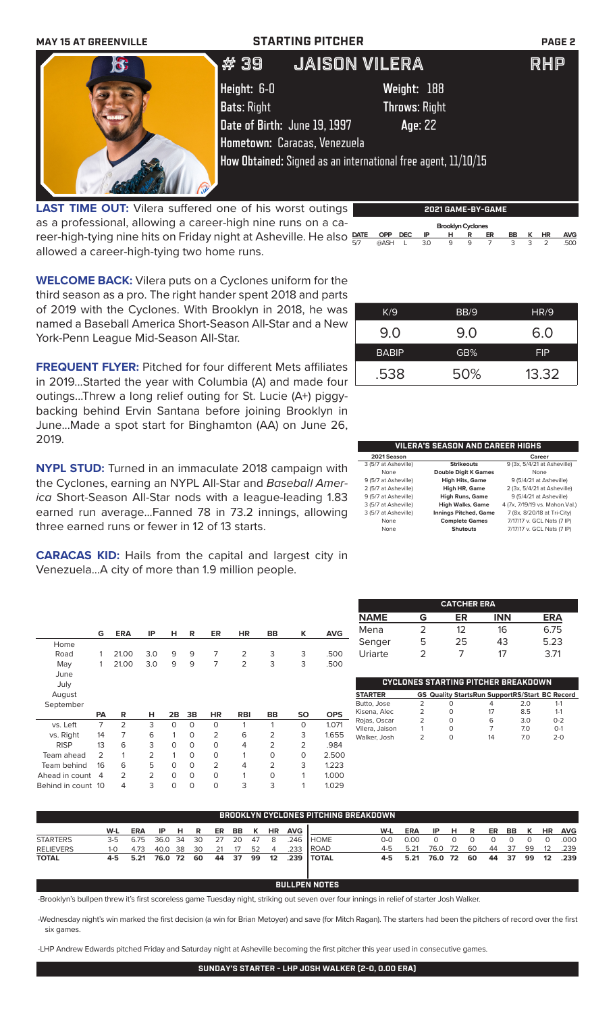| <b>MAY 15 AT GREENVILLE</b> | <b>STARTING PITCHER</b>                                       |                      | <b>PAGE 2</b> |
|-----------------------------|---------------------------------------------------------------|----------------------|---------------|
| $\mathbf{c}$                | <b>JAISON VILERA</b><br># 39                                  |                      | RHP           |
|                             | Height: 6-0                                                   | Weight: 188          |               |
|                             | <b>Bats: Right</b>                                            | <b>Throws: Right</b> |               |
|                             | Date of Birth: June 19, 1997                                  | Age: 22              |               |
|                             | Hometown: Caracas, Venezuela                                  |                      |               |
|                             | How Obtained: Signed as an international free agent, 11/10/15 |                      |               |
|                             |                                                               |                      |               |

**LAST TIME OUT:** Vilera suffered one of his worst outings as a professional, allowing a career-high nine runs on a career-high-tying nine hits on Friday night at Asheville. He also P allowed a career-high-tying two home runs.

| <b>Brooklyn Cyclones</b> |         |   |     |   |   |    |    |   |           |            |
|--------------------------|---------|---|-----|---|---|----|----|---|-----------|------------|
| <b>DATE</b>              | OPP DEC |   | IP  | н | R | ER | BB | к | <b>HR</b> | <b>AVG</b> |
| 5/7                      | @ASH    | L | 3.0 | 9 | 9 |    | 3  | 3 |           | .500       |

**2021 GAME-BY-GAME**

**WELCOME BACK:** Vilera puts on a Cyclones uniform for the third season as a pro. The right hander spent 2018 and parts of 2019 with the Cyclones. With Brooklyn in 2018, he was named a Baseball America Short-Season All-Star and a New York-Penn League Mid-Season All-Star.

**FREQUENT FLYER:** Pitched for four different Mets affiliates in 2019...Started the year with Columbia (A) and made four outings...Threw a long relief outing for St. Lucie (A+) piggybacking behind Ervin Santana before joining Brooklyn in June...Made a spot start for Binghamton (AA) on June 26, 2019.

**NYPL STUD:** Turned in an immaculate 2018 campaign with the Cyclones, earning an NYPL All-Star and *Baseball America* Short-Season All-Star nods with a league-leading 1.83 earned run average...Fanned 78 in 73.2 innings, allowing three earned runs or fewer in 12 of 13 starts.

**CARACAS KID:** Hails from the capital and largest city in Venezuela...A city of more than 1.9 million people.

|                | G              | <b>ERA</b>     | IP             | н        | R        | ER             | <b>HR</b>      | <b>BB</b>      | K              | <b>AVG</b> |
|----------------|----------------|----------------|----------------|----------|----------|----------------|----------------|----------------|----------------|------------|
| Home           |                |                |                |          |          |                |                |                |                |            |
| Road           |                | 21.00          | 3.0            | 9        | 9        | 7              | $\overline{2}$ | 3              | 3              | .500       |
| May            | 1              | 21.00          | 3.0            | 9        | 9        | 7              | $\overline{2}$ | 3              | 3              | .500       |
| June           |                |                |                |          |          |                |                |                |                |            |
| July           |                |                |                |          |          |                |                |                |                |            |
| August         |                |                |                |          |          |                |                |                |                |            |
| September      |                |                |                |          |          |                |                |                |                |            |
|                | <b>PA</b>      | R              | н              | 2B       | 3B       | <b>HR</b>      | <b>RBI</b>     | <b>BB</b>      | <b>SO</b>      | <b>OPS</b> |
|                |                |                |                |          |          |                |                |                |                |            |
| vs. Left       | 7              | $\overline{2}$ | 3              | $\Omega$ | $\Omega$ | 0              | 1              | 1              | 0              | 1.071      |
| vs. Right      | 14             | 7              | 6              | 1        | $\Omega$ | $\overline{2}$ | 6              | 2              | 3              | 1.655      |
| <b>RISP</b>    | 13             | 6              | 3              | $\Omega$ | $\Omega$ | $\Omega$       | 4              | $\overline{2}$ | $\overline{2}$ | .984       |
| Team ahead     | $\mathcal{P}$  | 1              | $\overline{2}$ | 1        | $\circ$  | 0              | 1              | O              | 0              | 2.500      |
| Team behind    | 16             | 6              | 5              | $\Omega$ | $\Omega$ | $\overline{2}$ | 4              | $\overline{2}$ | 3              | 1.223      |
| Ahead in count | $\overline{4}$ | $\mathfrak{D}$ | $\overline{2}$ | $\Omega$ | $\Omega$ | $\Omega$       | 1              | O              | 1              | 1.000      |

| K/9          | BB/9 | <b>HR/9</b> |
|--------------|------|-------------|
| 9.0          | 9.0  | 6.0         |
| <b>BABIP</b> | GB%  | <b>FIP</b>  |
| .538         | 50%  | 13.32       |

| VILERA'S SEASON AND CAREER HIGHS |                              |                                 |  |  |  |  |  |
|----------------------------------|------------------------------|---------------------------------|--|--|--|--|--|
| 2021 Season                      |                              | Career                          |  |  |  |  |  |
| 3 (5/7 at Asheville)             | <b>Strikeouts</b>            | 9 (3x, 5/4/21 at Asheville)     |  |  |  |  |  |
| None                             | <b>Double Digit K Games</b>  | None                            |  |  |  |  |  |
| 9 (5/7 at Asheville)             | <b>High Hits, Game</b>       | 9 (5/4/21 at Asheville)         |  |  |  |  |  |
| 2 (5/7 at Asheville)             | High HR, Game                | 2 (3x, 5/4/21 at Asheville)     |  |  |  |  |  |
| 9 (5/7 at Asheville)             | High Runs, Game              | 9 (5/4/21 at Asheville)         |  |  |  |  |  |
| 3 (5/7 at Asheville)             | <b>High Walks, Game</b>      | 4 (7x, 7/19/19 vs. Mahon. Val.) |  |  |  |  |  |
| 3 (5/7 at Asheville)             | <b>Innings Pitched, Game</b> | 7 (8x, 8/20/18 at Tri-City)     |  |  |  |  |  |
| None                             | <b>Complete Games</b>        | 7/17/17 v. GCL Nats (7 IP)      |  |  |  |  |  |
| None                             | Shutouts                     | 7/17/17 v. GCL Nats (7 IP)      |  |  |  |  |  |

| <b>CATCHER ERA</b> |   |    |            |            |  |  |  |  |
|--------------------|---|----|------------|------------|--|--|--|--|
| <b>NAME</b>        | G | ER | <b>INN</b> | <b>ERA</b> |  |  |  |  |
| Mena               | 2 | 12 | 16         | 6.75       |  |  |  |  |
| Senger             | 5 | 25 | 43         | 5.23       |  |  |  |  |
| Uriarte            | 2 |    | 17         | 3.71       |  |  |  |  |

| <b>STARTER</b> |               |   | <b>GS Quality StartsRun SupportRS/Start BC Record</b> |     |         |
|----------------|---------------|---|-------------------------------------------------------|-----|---------|
| Butto, Jose    | $\mathcal{P}$ | Ω | 4                                                     | 2.0 | $1 - 1$ |
| Kisena, Alec   | 2             | Ω | 17                                                    | 8.5 | $1 - 1$ |
| Rojas, Oscar   |               | Ω | 6                                                     | 3.0 | $0 - 2$ |
| Vilera, Jaison |               | O | 7                                                     | 70  | $O-1$   |
| Walker, Josh   | 2             | O | 14                                                    | 70  | $2 - 0$ |
|                |               |   |                                                       |     |         |

| BROOKLYN CYCLONES PITCHING BREAKDOWN |       |            |         |     |    |    |           |    |                  |            |              |            |            |            |      |     |    |       |       |                   |            |
|--------------------------------------|-------|------------|---------|-----|----|----|-----------|----|------------------|------------|--------------|------------|------------|------------|------|-----|----|-------|-------|-------------------|------------|
|                                      | W-L   | <b>ERA</b> | IP      | HR. |    | ER | <b>BB</b> | K  | <b>HR</b>        | <b>AVG</b> |              | W-L        | <b>ERA</b> | IP         | н    | R   | ER | BB    | $K$ . | <b>HR</b>         | <b>AVG</b> |
| <b>STARTERS</b>                      | $3-5$ | 6.75       | 36.0 34 |     | 30 | 27 | -20       | 47 | - 8              | 246        | I HOME.      | <u>ດ-ດ</u> | n nn       |            |      |     |    |       |       | $\Omega$          | 000        |
| <b>RELIEVERS</b>                     | 1-0   | 4.73       | 40.0 38 |     | 30 | 21 | 17        | 52 | $\overline{4}$   | .233       | ROAD         | 4-5        | 5.21       | 76.0       | - 72 | -60 | 44 | -37   | 99    | 12                | .239       |
| <b>TOTAL</b>                         |       | 4-5 5.21   | 76.0 72 |     | 60 |    | 44 37     | 99 | 12 <sup>12</sup> |            | .239   TOTAL | 4-5        | 5.21       | 76.0 72 60 |      |     |    | 44 37 | - 99  | $12 \overline{ }$ | .239       |

## **BULLPEN NOTES**

-Brooklyn's bullpen threw it's first scoreless game Tuesday night, striking out seven over four innings in relief of starter Josh Walker.

-Wednesday night's win marked the first decision (a win for Brian Metoyer) and save (for Mitch Ragan). The starters had been the pitchers of record over the first six games.

-LHP Andrew Edwards pitched Friday and Saturday night at Asheville becoming the first pitcher this year used in consecutive games.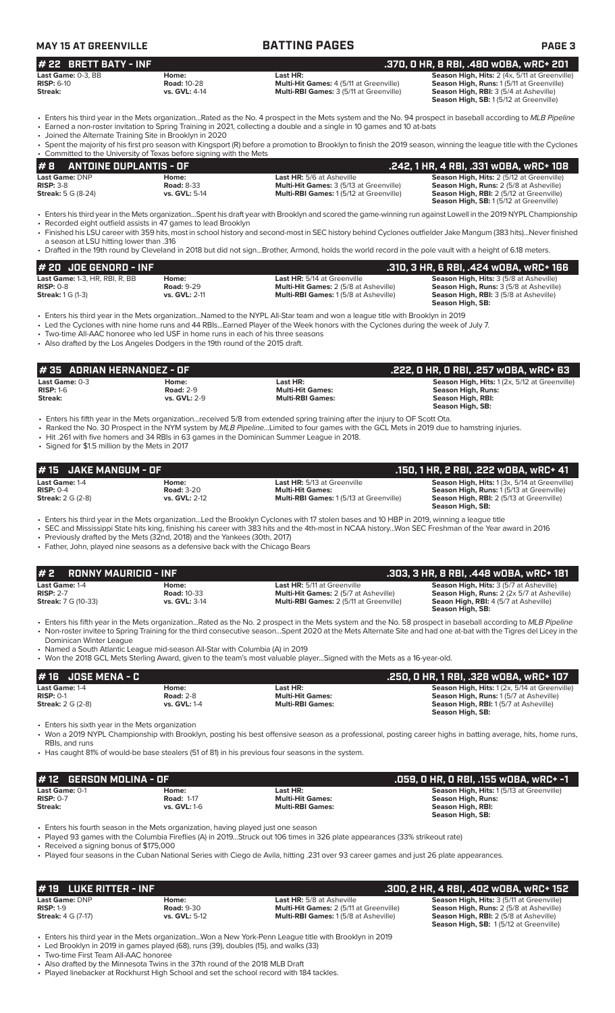| <b>MAY 15 AT GREENVILLE</b> |                    | <b>BATTING PAGES</b>                           | <b>PAGE 3</b>                                        |  |  |  |  |
|-----------------------------|--------------------|------------------------------------------------|------------------------------------------------------|--|--|--|--|
| $#$ 22 BRETT BATY - INF     |                    |                                                | .370. 0 HR. 8 RBI. .480 w0BA. wRC+ 201               |  |  |  |  |
| <b>Last Game:</b> 0-3. BB   | Home:              | Last HR:                                       | <b>Season High, Hits: 2 (4x, 5/11 at Greenville)</b> |  |  |  |  |
| $RISP: 6-10$                | <b>Road: 10-28</b> | <b>Multi-Hit Games: 4 (5/11 at Greenville)</b> | <b>Season High, Runs: 1(5/11 at Greenville)</b>      |  |  |  |  |

**Streak: vs. GVL:** 4-14 **Multi-RBI Games:** 3 (5/11 at Greenville) **Season High, RBI:** 3 (5/4 at Asheville)

**Season High, SB:** 1 (5/12 at Greenville)

• Enters his third year in the Mets organization...Rated as the No. 4 prospect in the Mets system and the No. 94 prospect in baseball according to *MLB Pipeline* • Earned a non-roster invitation to Spring Training in 2021, collecting a double and a single in 10 games and 10 at-bats

• Joined the Alternate Training Site in Brooklyn in 2020

| $\frac{1}{2}$ . The state matrix of $\frac{1}{2}$ and $\frac{1}{2}$ . The state $\frac{1}{2}$ |                                                                                                                                                                      |
|-----------------------------------------------------------------------------------------------|----------------------------------------------------------------------------------------------------------------------------------------------------------------------|
|                                                                                               | • Spent the majority of his first pro season with Kingsport (R) before a promotion to Brooklyn to finish the 2019 season, winning the league title with the Cyclones |
| • Committed to the University of Texas before signing with the Mets                           |                                                                                                                                                                      |
| $\mu$ o Autobie bublantio of                                                                  | 848 4118 4 BBL 884 -- 884 -- 88-488 -                                                                                                                                |

| #8<br>ANTOINE DUPLANTIS - OF |                   |                                                | .242, 1 HR, 4 RBI, .331 wOBA, wRC+ 108           |
|------------------------------|-------------------|------------------------------------------------|--------------------------------------------------|
| <b>Last Game: DNP</b>        | Home:             | <b>Last HR:</b> 5/6 at Asheville               | <b>Season High, Hits: 2 (5/12 at Greenville)</b> |
| $RISP: 3-8$                  | <b>Road: 8-33</b> | <b>Multi-Hit Games: 3 (5/13 at Greenville)</b> | <b>Season High, Runs:</b> 2 (5/8 at Asheville)   |
| <b>Streak:</b> 5 G (8-24)    | vs. GVL: 5-14     | <b>Multi-RBI Games: 1(5/12 at Greenville)</b>  | <b>Season High, RBI:</b> 2 (5/12 at Greenville)  |
|                              |                   |                                                | <b>Season High, SB:</b> 1(5/12 at Greenville)    |

• Enters his third year in the Mets organization...Spent his draft year with Brooklyn and scored the game-winning run against Lowell in the 2019 NYPL Championship

• Recorded eight outfield assists in 47 games to lead Brooklyn<br>• Recorded eight outfield assists in 47 games to lead Brooklyn • Finished his LSU career with 359 hits, most in school history and second-most in SEC history behind Cyclones outfielder Jake Mangum (383 hits)...Never finished

a season at LSU hitting lower than .316 • Drafted in the 19th round by Cleveland in 2018 but did not sign...Brother, Armond, holds the world record in the pole vault with a height of 6.18 meters.

| $#$ 20 JOE GENORD - INF                |                   |                                              | .310, 3 HR, 6 RBI, .424 wOBA, wRC+ 166         |
|----------------------------------------|-------------------|----------------------------------------------|------------------------------------------------|
| <b>Last Game: 1-3. HR. RBI. R. BB.</b> | Home:             | <b>Last HR:</b> 5/14 at Greenville           | <b>Season High, Hits: 3 (5/8 at Asheville)</b> |
| $RISP: 0-8$                            | <b>Road: 9-29</b> | <b>Multi-Hit Games: 2 (5/8 at Asheville)</b> | <b>Season High, Runs: 3 (5/8 at Asheville)</b> |
| <b>Streak:</b> 1 G (1-3)               | vs. GVL: 2-11     | <b>Multi-RBI Games: 1(5/8 at Asheville)</b>  | <b>Season High, RBI:</b> 3 (5/8 at Asheville)  |
|                                        |                   |                                              | Season High, SB:                               |

• Enters his third year in the Mets organization...Named to the NYPL All-Star team and won a league title with Brooklyn in 2019

• Led the Cyclones with nine home runs and 44 RBIs...Earned Player of the Week honors with the Cyclones during the week of July 7.

• Two-time All-AAC honoree who led USF in home runs in each of his three seasons

• Also drafted by the Los Angeles Dodgers in the 19th round of the 2015 draft.

| l # 35   ADRIAN HERNANDEZ - OF<br>.222, 0 HR, 0 RBI, .257 w0BA, wRC+ 63                                                      |                                                  |                                                                |                                                                                                              |  |  |  |  |
|------------------------------------------------------------------------------------------------------------------------------|--------------------------------------------------|----------------------------------------------------------------|--------------------------------------------------------------------------------------------------------------|--|--|--|--|
| Last Game: $0-3$<br>$RISP: 1-6$<br>Streak:                                                                                   | Home:<br><b>Road: 2-9</b><br><b>vs. GVL: 2-9</b> | Last HR:<br><b>Multi-Hit Games:</b><br><b>Multi-RBI Games:</b> | Season High, Hits: 1 (2x, 5/12 at Greenville)<br>Season High, Runs:<br>Season High, RBI:<br>Season High, SB: |  |  |  |  |
| • Enters his fifth year in the Mets organizationreceived 5/8 from extended spring training after the injury to OF Scott Ota. |                                                  |                                                                |                                                                                                              |  |  |  |  |

• Ranked the No. 30 Prospect in the NYM system by *MLB Pipeline...*Limited to four games with the GCL Mets in 2019 due to hamstring injuries. • Hit .261 with five homers and 34 RBIs in 63 games in the Dominican Summer League in 2018.

• Signed for \$1.5 million by the Mets in 2017

| <b>JAKE MANGUM - OF</b><br># 15<br>Last Game: 1-4                                                                                                                                                                                                                                                            | Home:                                                                                                                                                        | Last HR: 5/13 at Greenville                                                                                                                                                                                                                                                                       | .150, 1 HR, 2 RBI, .222 wOBA, wRC+ 41<br>Season High, Hits: 1 (3x, 5/14 at Greenville)                                                                                                          |
|--------------------------------------------------------------------------------------------------------------------------------------------------------------------------------------------------------------------------------------------------------------------------------------------------------------|--------------------------------------------------------------------------------------------------------------------------------------------------------------|---------------------------------------------------------------------------------------------------------------------------------------------------------------------------------------------------------------------------------------------------------------------------------------------------|-------------------------------------------------------------------------------------------------------------------------------------------------------------------------------------------------|
| $RISP: 0-4$<br><b>Streak:</b> 2 G (2-8)                                                                                                                                                                                                                                                                      | <b>Road: 3-20</b><br>vs. GVL: 2-12                                                                                                                           | <b>Multi-Hit Games:</b><br>Multi-RBI Games: 1 (5/13 at Greenville)                                                                                                                                                                                                                                | Season High, Runs: 1 (5/13 at Greenville)<br>Season High, RBI: 2 (5/13 at Greenville)<br>Season High, SB:                                                                                       |
|                                                                                                                                                                                                                                                                                                              | • Previously drafted by the Mets (32nd, 2018) and the Yankees (30th, 2017)<br>• Father, John, played nine seasons as a defensive back with the Chicago Bears | • Enters his third year in the Mets organizationLed the Brooklyn Cyclones with 17 stolen bases and 10 HBP in 2019, winning a league title<br>• SEC and Mississippi State hits king, finishing his career with 383 hits and the 4th-most in NCAA historyWon SEC Freshman of the Year award in 2016 |                                                                                                                                                                                                 |
| <b>RONNY MAURICIO - INF</b><br># 2                                                                                                                                                                                                                                                                           |                                                                                                                                                              |                                                                                                                                                                                                                                                                                                   | .303, 3 HR, 8 RBI, .448 w0BA, wRC+ 181                                                                                                                                                          |
| Last Game: 1-4<br><b>RISP: 2-7</b><br><b>Streak: 7 G (10-33)</b>                                                                                                                                                                                                                                             | Home:<br><b>Road: 10-33</b><br>vs. GVL: 3-14                                                                                                                 | <b>Last HR:</b> 5/11 at Greenville<br>Multi-Hit Games: 2 (5/7 at Asheville)<br>Multi-RBI Games: 2 (5/11 at Greenville)                                                                                                                                                                            | Season High, Hits: 3 (5/7 at Asheville)<br>Season High, Runs: 2 (2x 5/7 at Asheville)<br>Seaon High, RBI: 4 (5/7 at Asheville)<br>Season High, SB:                                              |
| Dominican Winter League                                                                                                                                                                                                                                                                                      | • Named a South Atlantic League mid-season All-Star with Columbia (A) in 2019                                                                                | • Non-roster invitee to Spring Training for the third consecutive seasonSpent 2020 at the Mets Alternate Site and had one at-bat with the Tigres del Licey in the                                                                                                                                 |                                                                                                                                                                                                 |
|                                                                                                                                                                                                                                                                                                              |                                                                                                                                                              | • Won the 2018 GCL Mets Sterling Award, given to the team's most valuable playerSigned with the Mets as a 16-year-old.                                                                                                                                                                            |                                                                                                                                                                                                 |
| <b>JOSE MENA - C</b>                                                                                                                                                                                                                                                                                         | Home:<br><b>Road: 2-8</b><br>vs. GVL: 1-4                                                                                                                    | Last HR:<br><b>Multi-Hit Games:</b><br><b>Multi-RBI Games:</b>                                                                                                                                                                                                                                    | .250, 0 HR, 1 RBI, .328 w0BA, wRC+ 107<br>Season High, Hits: 1 (2x, 5/14 at Greenville)<br>Season High, Runs: 1 (5/7 at Asheville)<br>Season High, RBI: 1(5/7 at Asheville)<br>Season High, SB: |
| • Enters his fifth year in the Mets organizationRated as the No. 2 prospect in the Mets system and the No. 58 prospect in baseball according to MLB Pipeline<br># 16<br>Last Game: 1-4<br><b>RISP: 0-1</b><br><b>Streak:</b> 2 G (2-8)<br>• Enters his sixth year in the Mets organization<br>RBIs, and runs |                                                                                                                                                              | • Won a 2019 NYPL Championship with Brooklyn, posting his best offensive season as a professional, posting career highs in batting average, hits, home runs,<br>• Has caught 81% of would-be base stealers (51 of 81) in his previous four seasons in the system.                                 |                                                                                                                                                                                                 |
| <b>GERSON MOLINA - OF</b><br># 12                                                                                                                                                                                                                                                                            |                                                                                                                                                              |                                                                                                                                                                                                                                                                                                   | .059, O HR, O RBI, .155 wOBA, wRC+ -1                                                                                                                                                           |

| $\#$ 19 $\pi$ LUKE RITTER - INF $\pi$                             |                                             |                                                                                                                                   | .300. 2 HR. 4 RBI. .402 w0BA. wRC+ 152                                                                                                                                                               |
|-------------------------------------------------------------------|---------------------------------------------|-----------------------------------------------------------------------------------------------------------------------------------|------------------------------------------------------------------------------------------------------------------------------------------------------------------------------------------------------|
| <b>Last Game: DNP</b><br>$RISP: 1-9$<br><b>Streak:</b> 4 G (7-17) | Home:<br><b>Road: 9-30</b><br>vs. GVL: 5-12 | <b>Last HR:</b> 5/8 at Asheville<br><b>Multi-Hit Games: 2 (5/11 at Greenville)</b><br><b>Multi-RBI Games: 1(5/8 at Asheville)</b> | <b>Season High, Hits: 3 (5/11 at Greenville)</b><br><b>Season High, Runs: 2 (5/8 at Asheville)</b><br><b>Season High, RBI:</b> 2 (5/8 at Asheville)<br><b>Season High, SB: 1(5/12 at Greenville)</b> |

• Enters his third year in the Mets organization...Won a New York-Penn League title with Brooklyn in 2019

• Led Brooklyn in 2019 in games played (68), runs (39), doubles (15), and walks (33)

• Two-time First Team All-AAC honoree

• Also drafted by the Minnesota Twins in the 37th round of the 2018 MLB Draft Played linebacker at Rockhurst High School and set the school record with 184 tackles.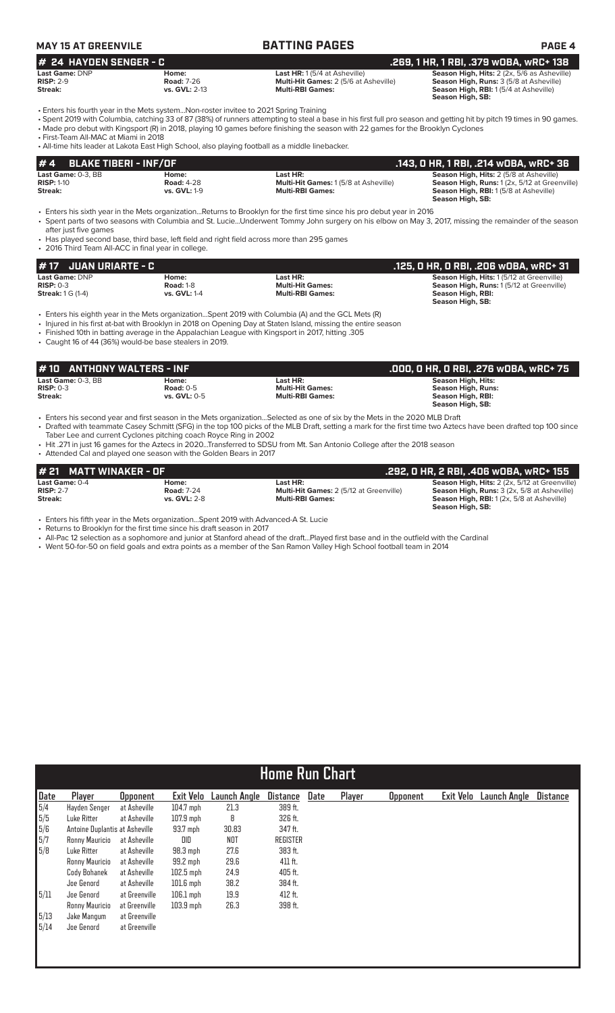| MAY 15 AT GREENVILE      |                   | <b>BATTING PAGES</b>                         | <b>PAGE 4</b>                                      |
|--------------------------|-------------------|----------------------------------------------|----------------------------------------------------|
| $#$ 24 HAYDEN SENGER - C |                   |                                              | .269. 1 HR. 1 RBI. .379 wOBA. wRC+ 138             |
| Last Game: DNP           | Home:             | <b>Last HR:</b> $1(5/4$ at Asheville)        | <b>Season High, Hits: 2 (2x, 5/6 as Asheville)</b> |
| $RISP: 2-9$              | <b>Road: 7-26</b> | <b>Multi-Hit Games:</b> 2 (5/6 at Asheville) | <b>Season High, Runs: 3 (5/8 at Asheville)</b>     |
| Streak:                  | vs. GVL: 2-13     | <b>Multi-RBI Games:</b>                      | <b>Season High, RBI:</b> 1(5/4 at Asheville)       |

**Season High, SB:** 

• Enters his fourth year in the Mets system...Non-roster invitee to 2021 Spring Training

• Spent 2019 with Columbia, catching 33 of 87 (38%) of runners attempting to steal a base in his first full pro season and getting hit by pitch 19 times in 90 games. • Made pro debut with Kingsport (R) in 2018, playing 10 games before finishing the season with 22 games for the Brooklyn Cyclones

• First-Team All-MAC at Miami in 2018

• All-time hits leader at Lakota East High School, also playing football as a middle linebacker.

| $# 4$ BLAKE TIBERI - INF/OF |                     |                                              | .143, 0 HR, 1 RBI, .214 w0BA, wRC+ 36          |
|-----------------------------|---------------------|----------------------------------------------|------------------------------------------------|
| <b>Last Game:</b> 0-3. BB   | Home:               | Last HR:                                     | <b>Season High, Hits: 2 (5/8 at Asheville)</b> |
| <b>RISP: 1-10</b>           | <b>Road: 4-28</b>   | <b>Multi-Hit Games: 1 (5/8 at Asheville)</b> | Season High, Runs: 1(2x, 5/12 at Greenville)   |
| Streak:                     | <b>vs. GVL: 1-9</b> | <b>Multi-RBI Games:</b>                      | <b>Season High, RBI:</b> 1(5/8 at Asheville)   |
|                             |                     |                                              | Season High, SB:                               |

• Enters his sixth year in the Mets organization...Returns to Brooklyn for the first time since his pro debut year in 2016 • Spent parts of two seasons with Columbia and St. Lucie...Underwent Tommy John surgery on his elbow on May 3, 2017, missing the remainder of the season after just five games

• Has played second base, third base, left field and right field across more than 295 games

• 2016 Third Team All-ACC in final year in college.

• Caught 16 of 44 (36%) would-be base stealers in 2019.

| $\#$ 17 JUAN URIARTE - C |                     |                         | . .125, O HR, O RBI, .206 wOBA, wRC+ 31'        |
|--------------------------|---------------------|-------------------------|-------------------------------------------------|
| Last Game: DNP           | Home:               | Last HR:                | <b>Season High, Hits: 1(5/12 at Greenville)</b> |
| $RISP: 0-3$              | <b>Road: 1-8</b>    | <b>Multi-Hit Games:</b> | <b>Season High, Runs: 1(5/12 at Greenville)</b> |
| <b>Streak: 1 G (1-4)</b> | <b>vs. GVL: 1-4</b> | <b>Multi-RBI Games:</b> | Season High, RBI:                               |
|                          |                     |                         | Season High, SB:                                |

• Enters his eighth year in the Mets organization...Spent 2019 with Columbia (A) and the GCL Mets (R)

• Injured in his first at-bat with Brooklyn in 2018 on Opening Day at Staten Island, missing the entire season

• Finished 10th in batting average in the Appalachian League with Kingsport in 2017, hitting .305

| $\sharp$ 10 $\;$ ANTHONY WALTERS - INF       |                                             |                                                                | .000. 0 HR. 0 RBI. .276 w0BA. wRC+ 75                                                           |
|----------------------------------------------|---------------------------------------------|----------------------------------------------------------------|-------------------------------------------------------------------------------------------------|
| Last Game: 0-3. BB<br>$RISP: 0-3$<br>Streak: | Home:<br><b>Road: 0-5</b><br>vs. $GVL: 0-5$ | Last HR:<br><b>Multi-Hit Games:</b><br><b>Multi-RBI Games:</b> | <b>Season High, Hits:</b><br><b>Season High, Runs:</b><br>Season High, RBI:<br>Season High, SB: |
|                                              |                                             | .                                                              |                                                                                                 |

• Enters his second year and first season in the Mets organization...Selected as one of six by the Mets in the 2020 MLB Draft • Drafted with teammate Casey Schmitt (SFG) in the top 100 picks of the MLB Draft, setting a mark for the first time two Aztecs have been drafted top 100 since Taber Lee and current Cyclones pitching coach Royce Ring in 2002

• Hit .271 in just 16 games for the Aztecs in 2020...Transferred to SDSU from Mt. San Antonio College after the 2018 season

• Attended Cal and played one season with the Golden Bears in 2017

| # 21 MATT WINAKER - OF |                   |                                                | .292. O HR. 2 RBI. .406 wOBA. wRC+ 155               |
|------------------------|-------------------|------------------------------------------------|------------------------------------------------------|
| Last Game: 0-4         | Home:             | Last HR:                                       | <b>Season High, Hits: 2 (2x, 5/12 at Greenville)</b> |
| $RISP: 2-7$            | <b>Road: 7-24</b> | <b>Multi-Hit Games: 2 (5/12 at Greenville)</b> | <b>Season High, Runs:</b> 3 (2x, 5/8 at Asheville)   |
| Streak:                | vs. $GVL: 2-8$    | <b>Multi-RBI Games:</b>                        | <b>Season High, RBI:</b> 1(2x, 5/8 at Asheville)     |
|                        |                   |                                                | Season High, SB:                                     |

• Enters his fifth year in the Mets organization...Spent 2019 with Advanced-A St. Lucie

• Returns to Brooklyn for the first time since his draft season in 2017

• All-Pac 12 selection as a sophomore and junior at Stanford ahead of the draft...Played first base and in the outfield with the Cardinal

• Went 50-for-50 on field goals and extra points as a member of the San Ramon Valley High School football team in 2014

|                                                  | <b>Home Run Chart</b>          |                 |             |              |                 |      |        |                 |           |              |                 |
|--------------------------------------------------|--------------------------------|-----------------|-------------|--------------|-----------------|------|--------|-----------------|-----------|--------------|-----------------|
|                                                  |                                |                 |             |              |                 |      |        |                 |           |              |                 |
| Date                                             | Player                         | <b>Opponent</b> | Exit Velo   | Launch Angle | <b>Distance</b> | Date | Player | <b>Opponent</b> | Exit Velo | Launch Angle | <b>Distance</b> |
| 5/4                                              | Hayden Senger                  | at Asheville    | $104.7$ mph | 21.3         | 389 ft.         |      |        |                 |           |              |                 |
| 5/5                                              | Luke Ritter                    | at Asheville    | $107.9$ mph | 8            | 326 ft.         |      |        |                 |           |              |                 |
| $\begin{array}{r} 5/6 \\ 5/7 \\ 5/8 \end{array}$ | Antoine Duplantis at Asheville |                 | $93.7$ mph  | 30.83        | 347 ft.         |      |        |                 |           |              |                 |
|                                                  | Ronny Mauricio                 | at Asheville    | DID         | <b>NOT</b>   | <b>REGISTER</b> |      |        |                 |           |              |                 |
|                                                  | Luke Ritter                    | at Asheville    | $98.3$ mph  | 27.6         | 383 ft.         |      |        |                 |           |              |                 |
|                                                  | Ronny Mauricio                 | at Asheville    | 99.2 mph    | 29.6         | 411 ft.         |      |        |                 |           |              |                 |
|                                                  | Cody Bohanek                   | at Asheville    | $102.5$ mph | 24.9         | 405 ft.         |      |        |                 |           |              |                 |
|                                                  | Joe Genord                     | at Asheville    | $101.6$ mph | 38.2         | 384 ft.         |      |        |                 |           |              |                 |
| 5/11                                             | Joe Genord                     | at Greenville   | $106.1$ mph | 19.9         | 412 ft.         |      |        |                 |           |              |                 |
|                                                  | Ronny Mauricio                 | at Greenville   | $103.9$ mph | 26.3         | 398 ft.         |      |        |                 |           |              |                 |
| 5/13                                             | Jake Mangum                    | at Greenville   |             |              |                 |      |        |                 |           |              |                 |
| 5/14                                             | Joe Genord                     | at Greenville   |             |              |                 |      |        |                 |           |              |                 |
|                                                  |                                |                 |             |              |                 |      |        |                 |           |              |                 |
|                                                  |                                |                 |             |              |                 |      |        |                 |           |              |                 |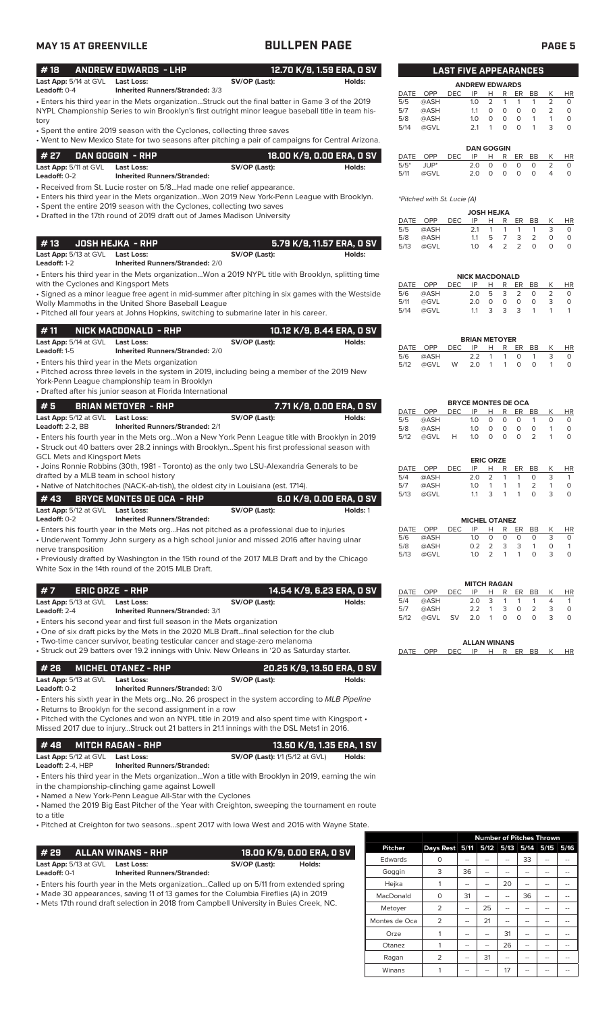# **MAY 15 AT GREENVILLE BULLPEN PAGE PAGE 5**

| #18                                              | <b>ANDREW EDWARDS - LHP</b>                                                                                                                                       |                                                                                                    | 12.70 K/9, 1.59 ERA, 0 SV  |             |                             | <b>LAST FIVE APPEARANCES</b> |                                  |                  |                     |                    |                           |                |                           |
|--------------------------------------------------|-------------------------------------------------------------------------------------------------------------------------------------------------------------------|----------------------------------------------------------------------------------------------------|----------------------------|-------------|-----------------------------|------------------------------|----------------------------------|------------------|---------------------|--------------------|---------------------------|----------------|---------------------------|
| Last App: 5/14 at GVL Last Loss:<br>Leadoff: 0-4 | Inherited Runners/Stranded: 3/3                                                                                                                                   | SV/OP (Last):                                                                                      | Holds:                     |             |                             |                              | <b>ANDREW EDWARDS</b>            |                  |                     |                    |                           |                |                           |
|                                                  | . Enters his third year in the Mets organizationStruck out the final batter in Game 3 of the 2019                                                                 |                                                                                                    |                            | DATE<br>5/5 | OPP<br>@ASH                 | DEC                          | IP<br>1.0                        | H<br>2           | R<br>1              | ER<br>$\mathbf{1}$ | BB<br>1                   | К<br>2         | <b>HR</b><br>$\circ$      |
|                                                  | NYPL Championship Series to win Brooklyn's first outright minor league baseball title in team his-                                                                |                                                                                                    |                            | 5/7         | @ASH                        |                              | 1.1                              | 0                | 0                   | $\circ$            | $\circ$                   | 2              | $\circ$                   |
| tory                                             |                                                                                                                                                                   |                                                                                                    |                            | 5/8         | @ASH                        |                              | 1.0                              | 0                | 0                   | $\circ$            | $\mathbf{1}$              | $\mathbf{1}$   | $\circ$                   |
|                                                  | • Spent the entire 2019 season with the Cyclones, collecting three saves                                                                                          |                                                                                                    |                            | 5/14        | @GVL                        |                              | 2.1                              | 1                | $\circ$             | $\circ$            | $\mathbf{1}$              | 3              | $\circ$                   |
|                                                  | • Went to New Mexico State for two seasons after pitching a pair of campaigns for Central Arizona.                                                                |                                                                                                    |                            |             |                             |                              |                                  |                  |                     |                    |                           |                |                           |
| # 27                                             | DAN GOGGIN - RHP                                                                                                                                                  |                                                                                                    | 18.00 K/9, 0.00 ERA, 0 SV  | DATE        | OPP                         | <b>DEC</b>                   | <b>DAN GOGGIN</b><br>IP          | H                | R                   | ER                 | BB                        | К              | <b>HR</b>                 |
| Last App: 5/11 at GVL Last Loss:                 |                                                                                                                                                                   | SV/OP (Last):                                                                                      | Holds:                     | $5/5*$      | JUP*                        |                              | 2.0                              | 0                | $\mathbf 0$         | $\circ$            | 0                         | 2              | 0                         |
| Leadoff: 0-2                                     | <b>Inherited Runners/Stranded:</b>                                                                                                                                |                                                                                                    |                            | 5/11        | @GVL                        |                              | 2.0                              | $\circ$          | $\circ$             | $\circ$            | $\circ$                   | $\overline{4}$ | $\circ$                   |
|                                                  | • Received from St. Lucie roster on 5/8Had made one relief appearance.                                                                                            |                                                                                                    |                            |             |                             |                              |                                  |                  |                     |                    |                           |                |                           |
|                                                  | • Enters his third year in the Mets organizationWon 2019 New York-Penn League with Brooklyn.                                                                      |                                                                                                    |                            |             | *Pitched with St. Lucie (A) |                              |                                  |                  |                     |                    |                           |                |                           |
|                                                  | • Spent the entire 2019 season with the Cyclones, collecting two saves                                                                                            |                                                                                                    |                            |             |                             |                              | <b>JOSH HEJKA</b>                |                  |                     |                    |                           |                |                           |
|                                                  | • Drafted in the 17th round of 2019 draft out of James Madison University                                                                                         |                                                                                                    |                            |             | DATE OPP                    | <b>DEC</b>                   | IP                               | H                | R                   | ER                 | BB                        | К              | HR                        |
|                                                  |                                                                                                                                                                   |                                                                                                    |                            | 5/5         | @ASH                        |                              | 2.1                              | $\mathbf{1}$     | $\mathbf{1}$        | $\mathbf{1}$       | 1                         | 3              | $\circ$                   |
| #13                                              | <b>JOSH HEJKA - RHP</b>                                                                                                                                           |                                                                                                    | 5.79 K/9, 11.57 ERA, 0 SV  | 5/8<br>5/13 | @ASH<br>@GVL                |                              | 1.1<br>1.0                       | 5<br>4           | $\overline{7}$<br>2 | 3<br>2             | $\overline{2}$<br>$\circ$ | 0<br>$\circ$   | $\circ$<br>$\circ$        |
| Last App: 5/13 at GVL Last Loss:                 |                                                                                                                                                                   | SV/OP (Last):                                                                                      | Holds:                     |             |                             |                              |                                  |                  |                     |                    |                           |                |                           |
| Leadoff: 1-2                                     | Inherited Runners/Stranded: 2/0                                                                                                                                   |                                                                                                    |                            |             |                             |                              |                                  |                  |                     |                    |                           |                |                           |
|                                                  | . Enters his third year in the Mets organizationWon a 2019 NYPL title with Brooklyn, splitting time                                                               |                                                                                                    |                            |             |                             |                              | <b>NICK MACDONALD</b>            |                  |                     |                    |                           |                |                           |
| with the Cyclones and Kingsport Mets             |                                                                                                                                                                   |                                                                                                    |                            |             | DATE OPP                    | <b>DEC</b>                   | IP                               | Н                | R                   | ER                 | BB                        | Κ              | <b>HR</b>                 |
|                                                  | · Signed as a minor league free agent in mid-summer after pitching in six games with the Westside                                                                 |                                                                                                    |                            | 5/6<br>5/11 | @ASH<br>@GVL                |                              | 2.0<br>2.0                       | 5<br>$\circ$     | 3<br>0              | 2<br>$\circ$       | 0<br>$\circ$              | 2<br>3         | $\circ$<br>$\circ$        |
|                                                  | Wolly Mammoths in the United Shore Baseball League<br>. Pitched all four years at Johns Hopkins, switching to submarine later in his career.                      |                                                                                                    |                            | 5/14        | @GVL                        |                              | 1.1                              | 3                | 3                   | 3                  | $\mathbf{1}$              | $\mathbf{1}$   | $\overline{1}$            |
|                                                  |                                                                                                                                                                   |                                                                                                    |                            |             |                             |                              |                                  |                  |                     |                    |                           |                |                           |
| #11                                              | NICK MACDONALD - RHP                                                                                                                                              |                                                                                                    | 10.12 K/9, 8.44 ERA, 0 SV  |             |                             |                              |                                  |                  |                     |                    |                           |                |                           |
| Last App: 5/14 at GVL Last Loss:                 |                                                                                                                                                                   | SV/OP (Last):                                                                                      | Holds:                     |             |                             |                              | <b>BRIAN METOYER</b>             |                  |                     |                    |                           |                |                           |
| Leadoff: 1-5                                     | <b>Inherited Runners/Stranded: 2/0</b>                                                                                                                            |                                                                                                    |                            | 5/6         | DATE OPP<br>@ASH            | <b>DEC</b>                   | IP<br>2.2                        | Н<br>1           | R<br>-1             | ER<br>$\circ$      | BB<br>$\mathbf{1}$        | К<br>3         | <b>HR</b>                 |
|                                                  | • Enters his third year in the Mets organization                                                                                                                  |                                                                                                    |                            | 5/12        | @GVL                        | W                            | 2.0                              | -1               | $\mathbf{1}$        | 0                  | $\circ$                   | $\mathbf{1}$   |                           |
|                                                  | . Pitched across three levels in the system in 2019, including being a member of the 2019 New                                                                     |                                                                                                    |                            |             |                             |                              |                                  |                  |                     |                    |                           |                |                           |
|                                                  | York-Penn League championship team in Brooklyn                                                                                                                    |                                                                                                    |                            |             |                             |                              |                                  |                  |                     |                    |                           |                |                           |
|                                                  | • Drafted after his junior season at Florida International                                                                                                        |                                                                                                    |                            |             |                             |                              |                                  |                  |                     |                    |                           |                |                           |
| #5                                               | <b>BRIAN METOYER - RHP</b>                                                                                                                                        |                                                                                                    | 7.71 K/9, 0.00 ERA, 0 SV   |             | DATE OPP                    | <b>DEC</b>                   | <b>BRYCE MONTES DE OCA</b><br>IP | H                | R                   | ER                 | BB                        | K              |                           |
| Last App: 5/12 at GVL Last Loss:                 |                                                                                                                                                                   | SV/OP (Last):                                                                                      | Holds:                     | 5/5         | @ASH                        |                              | 1.0                              | $\circ$          | 0                   | $\circ$            | 1                         | 0              | <b>HR</b>                 |
| Leadoff: 2-2, BB                                 | <b>Inherited Runners/Stranded: 2/1</b>                                                                                                                            |                                                                                                    |                            | 5/8         | @ASH                        |                              | 1.0                              | $\circ$          | $\circ$             | $\circ$            | $\circ$                   | $\mathbf{1}$   |                           |
|                                                  | . Enters his fourth year in the Mets orgWon a New York Penn League title with Brooklyn in 2019                                                                    |                                                                                                    |                            | 5/12        | @GVL                        | Н                            | 1.0                              | $\circ$          | $\circ$             | $\circ$            | 2                         | $\mathbf{1}$   |                           |
|                                                  | • Struck out 40 batters over 28.2 innings with BrooklynSpent his first professional season with                                                                   |                                                                                                    |                            |             |                             |                              |                                  |                  |                     |                    |                           |                |                           |
| <b>GCL Mets and Kingsport Mets</b>               |                                                                                                                                                                   |                                                                                                    |                            |             |                             |                              |                                  | <b>ERIC ORZE</b> |                     |                    |                           |                |                           |
| drafted by a MLB team in school history          | • Joins Ronnie Robbins (30th, 1981 - Toronto) as the only two LSU-Alexandria Generals to be                                                                       |                                                                                                    |                            | 5/4         | DATE OPP                    | <b>DEC</b>                   | IP<br>2.0                        | H<br>2           | R<br>1              | ER<br>$\mathbf{1}$ | BB<br>O                   | K<br>3         | <b>HR</b><br>$\mathbf{1}$ |
|                                                  | • Native of Natchitoches (NACK-ah-tish), the oldest city in Louisiana (est. 1714).                                                                                |                                                                                                    |                            | 5/7         | @ASH<br>@ASH                |                              | 1.0                              | 1                | $\mathbf{1}$        | 1                  | $\overline{2}$            | $\mathbf{1}$   | $\circ$                   |
| #43                                              | <b>BRYCE MONTES DE OCA - RHP</b>                                                                                                                                  |                                                                                                    | 6.0 K/9, 0.00 ERA, 0 SV    | 5/13        | @GVL                        |                              | 1.1                              | 3                | $\overline{1}$      | $\overline{1}$     | $\circ$                   | 3              | $\circ$                   |
|                                                  |                                                                                                                                                                   |                                                                                                    |                            |             |                             |                              |                                  |                  |                     |                    |                           |                |                           |
| Last App: 5/12 at GVL Last Loss:<br>Leadoff: 0-2 | <b>Inherited Runners/Stranded:</b>                                                                                                                                | SV/OP (Last):                                                                                      | Holds: 1                   |             |                             |                              | <b>MICHEL OTANEZ</b>             |                  |                     |                    |                           |                |                           |
|                                                  | • Enters his fourth year in the Mets orgHas not pitched as a professional due to injuries                                                                         |                                                                                                    |                            |             | DATE OPP                    | <b>DEC</b>                   | IP                               | Н                | R                   | ER                 | BB                        | К              | HR                        |
|                                                  | • Underwent Tommy John surgery as a high school junior and missed 2016 after having ulnar                                                                         |                                                                                                    |                            | 5/6         | @ASH                        |                              | 1.0                              | 0                | 0                   | 0                  | 0                         | 3              | $\circ$                   |
| nerve transposition                              |                                                                                                                                                                   |                                                                                                    |                            | 5/8<br>5/13 | @ASH                        |                              | 0.2<br>1.0                       | 2<br>2           | 3<br>$\mathbf{1}$   | 3<br>$\mathbf{1}$  | $\mathbf{1}$<br>0         | 0<br>3         | $\mathbf{1}$              |
|                                                  | • Previously drafted by Washington in the 15th round of the 2017 MLB Draft and by the Chicago                                                                     |                                                                                                    |                            |             | @GVL                        |                              |                                  |                  |                     |                    |                           |                | $\circ$                   |
|                                                  | White Sox in the 14th round of the 2015 MLB Draft.                                                                                                                |                                                                                                    |                            |             |                             |                              |                                  |                  |                     |                    |                           |                |                           |
|                                                  |                                                                                                                                                                   |                                                                                                    |                            |             |                             |                              | <b>MITCH RAGAN</b>               |                  |                     |                    |                           |                |                           |
| #7<br><b>ERIC ORZE - RHP</b>                     |                                                                                                                                                                   |                                                                                                    | 14.54 K/9, 6.23 ERA, 0 SV  |             | DATE OPP                    | <b>DEC</b>                   | IP                               | н                | R                   | ER                 | BB                        | К              | HR                        |
| Last App: 5/13 at GVL                            | <b>Last Loss:</b>                                                                                                                                                 | SV/OP (Last):                                                                                      | Holds:                     | 5/4<br>5/7  | @ASH<br>@ASH                |                              | 2.0<br>2.2                       | 3<br>1           | -1<br>3             | 1<br>0             | 1<br>$\overline{2}$       | 4<br>3         | $\mathbf{1}$<br>$\circ$   |
| Leadoff: 2-4                                     | <b>Inherited Runners/Stranded: 3/1</b>                                                                                                                            |                                                                                                    |                            | 5/12        | @GVL                        | SV                           | 2.0                              | 1                | $\circ$             | 0                  | $\circ$                   | 3              | $\circ$                   |
|                                                  | • Enters his second year and first full season in the Mets organization<br>. One of six draft picks by the Mets in the 2020 MLB Draftfinal selection for the club |                                                                                                    |                            |             |                             |                              |                                  |                  |                     |                    |                           |                |                           |
|                                                  | • Two-time cancer survivor, beating testicular cancer and stage-zero melanoma                                                                                     |                                                                                                    |                            |             |                             |                              | <b>ALLAN WINANS</b>              |                  |                     |                    |                           |                |                           |
|                                                  | • Struck out 29 batters over 19.2 innings with Univ. New Orleans in '20 as Saturday starter.                                                                      |                                                                                                    |                            |             | DATE OPP                    | <b>DEC</b>                   | IP                               |                  | H R ER BB           |                    |                           | K              | HR                        |
|                                                  |                                                                                                                                                                   |                                                                                                    |                            |             |                             |                              |                                  |                  |                     |                    |                           |                |                           |
| #26                                              | <b>MICHEL OTANEZ - RHP</b>                                                                                                                                        |                                                                                                    | 20.25 K/9, 13.50 ERA, 0 SV |             |                             |                              |                                  |                  |                     |                    |                           |                |                           |
| Last App: 5/13 at GVL Last Loss:                 |                                                                                                                                                                   | SV/OP (Last):                                                                                      | Holds:                     |             |                             |                              |                                  |                  |                     |                    |                           |                |                           |
| Leadoff: 0-2                                     | <b>Inherited Runners/Stranded: 3/0</b>                                                                                                                            |                                                                                                    |                            |             |                             |                              |                                  |                  |                     |                    |                           |                |                           |
|                                                  | • Enters his sixth year in the Mets orgNo. 26 prospect in the system according to MLB Pipeline<br>• Returns to Brooklyn for the second assignment in a row        |                                                                                                    |                            |             |                             |                              |                                  |                  |                     |                    |                           |                |                           |
|                                                  | . Pitched with the Cyclones and won an NYPL title in 2019 and also spent time with Kingsport .                                                                    |                                                                                                    |                            |             |                             |                              |                                  |                  |                     |                    |                           |                |                           |
|                                                  | Missed 2017 due to injuryStruck out 21 batters in 21.1 innings with the DSL Mets1 in 2016.                                                                        |                                                                                                    |                            |             |                             |                              |                                  |                  |                     |                    |                           |                |                           |
|                                                  |                                                                                                                                                                   |                                                                                                    |                            |             |                             |                              |                                  |                  |                     |                    |                           |                |                           |
| #48                                              | <b>MITCH RAGAN - RHP</b>                                                                                                                                          |                                                                                                    | 13.50 K/9, 1.35 ERA, 1 SV  |             |                             |                              |                                  |                  |                     |                    |                           |                |                           |
|                                                  |                                                                                                                                                                   | <b>SV/OP (Last):</b> 1/1 (5/12 at GVL)                                                             | Holds:                     |             |                             |                              |                                  |                  |                     |                    |                           |                |                           |
| Last App: 5/12 at GVL Last Loss:                 | <b>Inherited Runners/Stranded:</b>                                                                                                                                |                                                                                                    |                            |             |                             |                              |                                  |                  |                     |                    |                           |                |                           |
| Leadoff: 2-4, HBP                                |                                                                                                                                                                   | • Enters his third year in the Mets organizationWon a title with Brooklyn in 2019, earning the win |                            |             |                             |                              |                                  |                  |                     |                    |                           |                |                           |
|                                                  |                                                                                                                                                                   |                                                                                                    |                            |             |                             |                              |                                  |                  |                     |                    |                           |                |                           |
|                                                  | in the championship-clinching game against Lowell                                                                                                                 |                                                                                                    |                            |             |                             |                              |                                  |                  |                     |                    |                           |                |                           |
|                                                  | • Named a New York-Penn League All-Star with the Cyclones                                                                                                         |                                                                                                    |                            |             |                             |                              |                                  |                  |                     |                    |                           |                |                           |
| to a title                                       | • Named the 2019 Big East Pitcher of the Year with Creighton, sweeping the tournament en route                                                                    |                                                                                                    |                            |             |                             |                              |                                  |                  |                     |                    |                           |                |                           |

| # 29       ALLAN WINANS - RHP                                                           |                                    |               | 18.00 K/9. 0.00 ERA. 0 SV |  |  |  |  |
|-----------------------------------------------------------------------------------------|------------------------------------|---------------|---------------------------|--|--|--|--|
| Last App: 5/13 at GVL Last Loss:                                                        |                                    | SV/OP (Last): | Holds:                    |  |  |  |  |
| Leadoff: 0-1                                                                            | <b>Inherited Runners/Stranded:</b> |               |                           |  |  |  |  |
| • Enters his fourth year in the Mets organizationCalled up on 5/11 from extended spring |                                    |               |                           |  |  |  |  |
| • Made 30 appearances, saving 11 of 13 games for the Columbia Fireflies (A) in 2019     |                                    |               |                           |  |  |  |  |

• Mets 17th round draft selection in 2018 from Campbell University in Buies Creek, NC.

|               |                | <b>Number of Pitches Thrown</b> |      |      |      |      |      |  |
|---------------|----------------|---------------------------------|------|------|------|------|------|--|
| Pitcher       | Days Rest 5/11 |                                 | 5/12 | 5/13 | 5/14 | 5/15 | 5/16 |  |
| Edwards       | 0              |                                 |      |      | 33   |      |      |  |
| Goggin        | 3              | 36                              |      |      |      |      |      |  |
| Hejka         | 1              |                                 |      | 20   |      |      |      |  |
| MacDonald     | 0              | 31                              |      |      | 36   |      |      |  |
| Metoyer       | $\overline{2}$ |                                 | 25   |      |      |      |      |  |
| Montes de Oca | $\overline{2}$ | --                              | 21   |      | --   | --   |      |  |
| Orze          | 1              |                                 |      | 31   |      |      |      |  |
| Otanez        | 1              |                                 |      | 26   |      |      |      |  |
| Ragan         | $\overline{2}$ |                                 | 31   | --   | --   | --   |      |  |
| Winans        | 1              |                                 |      | 17   |      |      |      |  |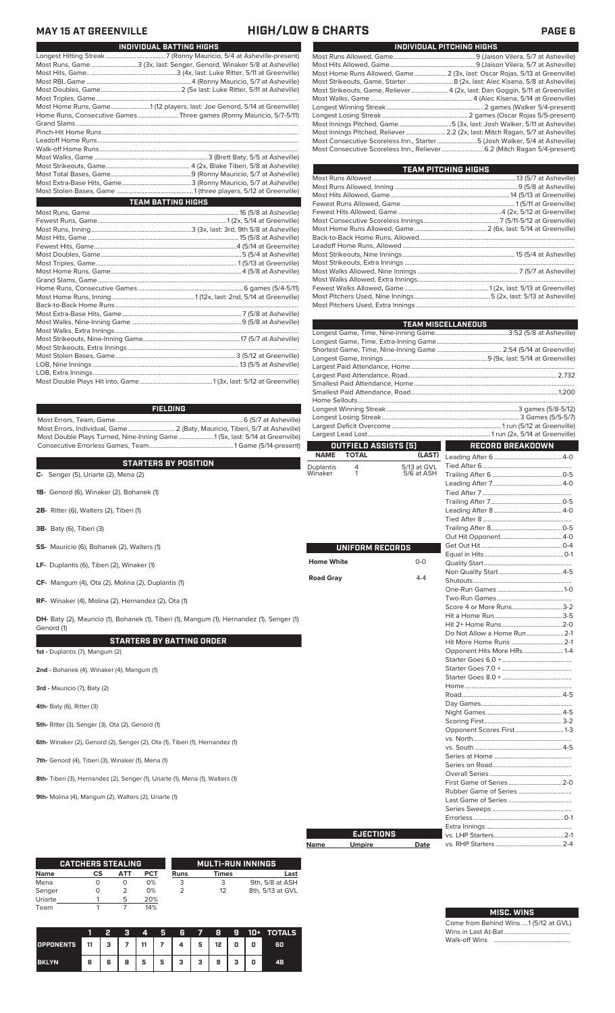# **MAY 15 AT GREENVILLE HIGH/LOW & CHARTS PAGE 6**

| INDIVIDUAL BATTING HIGHS                                                 |  |  |  |  |  |  |  |  |
|--------------------------------------------------------------------------|--|--|--|--|--|--|--|--|
|                                                                          |  |  |  |  |  |  |  |  |
| Most Runs, Game 3 (3x, last: Senger, Genord, Winaker 5/8 at Asheville)   |  |  |  |  |  |  |  |  |
|                                                                          |  |  |  |  |  |  |  |  |
|                                                                          |  |  |  |  |  |  |  |  |
|                                                                          |  |  |  |  |  |  |  |  |
|                                                                          |  |  |  |  |  |  |  |  |
| Most Home Runs, Game1 (12 players, last: Joe Genord, 5/14 at Greenville) |  |  |  |  |  |  |  |  |
| Home Runs, Consecutive Games Three games (Ronny Mauricio, 5/7-5/11)      |  |  |  |  |  |  |  |  |
|                                                                          |  |  |  |  |  |  |  |  |
|                                                                          |  |  |  |  |  |  |  |  |
|                                                                          |  |  |  |  |  |  |  |  |
|                                                                          |  |  |  |  |  |  |  |  |
|                                                                          |  |  |  |  |  |  |  |  |
|                                                                          |  |  |  |  |  |  |  |  |
|                                                                          |  |  |  |  |  |  |  |  |
|                                                                          |  |  |  |  |  |  |  |  |
|                                                                          |  |  |  |  |  |  |  |  |
| <b>TEAM BATTING HIGHS</b>                                                |  |  |  |  |  |  |  |  |
|                                                                          |  |  |  |  |  |  |  |  |
|                                                                          |  |  |  |  |  |  |  |  |
|                                                                          |  |  |  |  |  |  |  |  |
|                                                                          |  |  |  |  |  |  |  |  |
|                                                                          |  |  |  |  |  |  |  |  |
|                                                                          |  |  |  |  |  |  |  |  |
|                                                                          |  |  |  |  |  |  |  |  |
|                                                                          |  |  |  |  |  |  |  |  |
|                                                                          |  |  |  |  |  |  |  |  |
|                                                                          |  |  |  |  |  |  |  |  |
|                                                                          |  |  |  |  |  |  |  |  |
|                                                                          |  |  |  |  |  |  |  |  |
|                                                                          |  |  |  |  |  |  |  |  |
|                                                                          |  |  |  |  |  |  |  |  |
|                                                                          |  |  |  |  |  |  |  |  |
|                                                                          |  |  |  |  |  |  |  |  |
|                                                                          |  |  |  |  |  |  |  |  |
|                                                                          |  |  |  |  |  |  |  |  |
|                                                                          |  |  |  |  |  |  |  |  |
|                                                                          |  |  |  |  |  |  |  |  |
|                                                                          |  |  |  |  |  |  |  |  |

| Most Home Runs Allowed, Game 2 (3x, last: Oscar Rojas, 5/13 at Greenville)    |
|-------------------------------------------------------------------------------|
| Most Strikeouts, Game, Starter 8 (2x, last: Alec Kisena, 5/8 at Asheville)    |
| Most Strikeouts, Game, Reliever 4 (2x, last: Dan Goggin, 5/11 at Greenville)  |
|                                                                               |
|                                                                               |
|                                                                               |
| Most Innings Pitched, Game5 (3x, last: Josh Walker, 5/11 at Asheville)        |
| Most Innings Pitched, Reliever  2.2 (2x, last: Mitch Ragan, 5/7 at Asheville) |
| Most Consecutive Scoreless Inn., Starter5 (Josh Walker, 5/4 at Asheville)     |
| Most Consecutive Scoreless Inn., Reliever  6.2 (Mitch Ragan 5/4-present)      |
|                                                                               |

**INDIVIDUAL PITCHING HIGHS**

| <b>TEAM PITCHING HIGHS</b> |  |  |  |  |  |  |  |  |
|----------------------------|--|--|--|--|--|--|--|--|
|                            |  |  |  |  |  |  |  |  |
|                            |  |  |  |  |  |  |  |  |
|                            |  |  |  |  |  |  |  |  |
|                            |  |  |  |  |  |  |  |  |
|                            |  |  |  |  |  |  |  |  |
|                            |  |  |  |  |  |  |  |  |
|                            |  |  |  |  |  |  |  |  |
|                            |  |  |  |  |  |  |  |  |
|                            |  |  |  |  |  |  |  |  |
|                            |  |  |  |  |  |  |  |  |
|                            |  |  |  |  |  |  |  |  |
|                            |  |  |  |  |  |  |  |  |
|                            |  |  |  |  |  |  |  |  |
|                            |  |  |  |  |  |  |  |  |
|                            |  |  |  |  |  |  |  |  |
|                            |  |  |  |  |  |  |  |  |

|                      |                      |                           | EAM MISCELLANEOUS           |  |  |  |  |  |
|----------------------|----------------------|---------------------------|-----------------------------|--|--|--|--|--|
|                      |                      |                           |                             |  |  |  |  |  |
|                      |                      |                           |                             |  |  |  |  |  |
|                      |                      |                           |                             |  |  |  |  |  |
|                      |                      |                           |                             |  |  |  |  |  |
|                      |                      |                           |                             |  |  |  |  |  |
|                      |                      |                           |                             |  |  |  |  |  |
|                      |                      |                           |                             |  |  |  |  |  |
|                      |                      |                           |                             |  |  |  |  |  |
|                      |                      |                           |                             |  |  |  |  |  |
|                      |                      |                           |                             |  |  |  |  |  |
|                      | OUTFIELD ASSISTS (5) |                           | <b>RECORD BREAKDOWN</b>     |  |  |  |  |  |
| <b>NAME</b>          | <b>TOTAL</b>         | (LAST)                    |                             |  |  |  |  |  |
|                      |                      |                           |                             |  |  |  |  |  |
| Duplantis<br>Winaker | 4<br>1               | 5/13 at GVL<br>5/6 at ASH |                             |  |  |  |  |  |
|                      |                      |                           |                             |  |  |  |  |  |
|                      |                      |                           |                             |  |  |  |  |  |
|                      |                      |                           |                             |  |  |  |  |  |
|                      |                      |                           |                             |  |  |  |  |  |
|                      |                      |                           |                             |  |  |  |  |  |
|                      |                      |                           |                             |  |  |  |  |  |
|                      |                      |                           |                             |  |  |  |  |  |
|                      | UNIFORM RECORDS      |                           |                             |  |  |  |  |  |
|                      |                      |                           |                             |  |  |  |  |  |
| <b>Home White</b>    |                      | $0 - 0$                   |                             |  |  |  |  |  |
| <b>Road Gray</b>     |                      | $4 - 4$                   |                             |  |  |  |  |  |
|                      |                      |                           |                             |  |  |  |  |  |
|                      |                      |                           |                             |  |  |  |  |  |
|                      |                      |                           | Score 4 or More Runs 3-2    |  |  |  |  |  |
|                      |                      |                           |                             |  |  |  |  |  |
|                      |                      |                           |                             |  |  |  |  |  |
|                      |                      |                           | Do Not Allow a Home Run 2-1 |  |  |  |  |  |
|                      |                      |                           | Hit More Home Runs  2-1     |  |  |  |  |  |
|                      |                      |                           | Opponent Hits More HRs1-4   |  |  |  |  |  |
|                      |                      |                           |                             |  |  |  |  |  |
|                      |                      |                           |                             |  |  |  |  |  |
|                      |                      |                           |                             |  |  |  |  |  |
|                      |                      |                           |                             |  |  |  |  |  |
|                      |                      |                           |                             |  |  |  |  |  |
|                      |                      |                           |                             |  |  |  |  |  |
|                      |                      |                           |                             |  |  |  |  |  |
|                      |                      |                           | Opponent Scores First 1-3   |  |  |  |  |  |
|                      |                      |                           |                             |  |  |  |  |  |
|                      |                      |                           |                             |  |  |  |  |  |
|                      |                      |                           |                             |  |  |  |  |  |
|                      |                      |                           |                             |  |  |  |  |  |
|                      |                      |                           |                             |  |  |  |  |  |
|                      |                      |                           |                             |  |  |  |  |  |
|                      |                      |                           |                             |  |  |  |  |  |
|                      |                      |                           |                             |  |  |  |  |  |
|                      |                      |                           |                             |  |  |  |  |  |
|                      |                      |                           |                             |  |  |  |  |  |
|                      | <b>EJECTIONS</b>     |                           |                             |  |  |  |  |  |
| Name                 | Umpire               | Date                      |                             |  |  |  |  |  |

**Name Umpire** 

| ONS |      |  |
|-----|------|--|
|     | Date |  |
|     |      |  |
|     |      |  |
|     |      |  |
|     |      |  |
|     |      |  |
|     |      |  |

## **FIELDING**

Most Errors, Team, Game...............................................................................6 (5/7 at Asheville) Most Errors, Individual, Game............................. 2 (Baty, Mauricio, Tiberi, 5/7 at Asheville) Most Double Plays Turned, Nine-Inning Game......................1 (5x, last: 5/14 at Greenville) Consecutive Errorless Games, Team.................................................... 1 Game (5/14-present)

### **STARTERS BY POSITION**

**C-** Senger (5), Uriarte (2), Mena (2)

- **1B-** Genord (6), Winaker (2), Bohanek (1)
- **2B-** Ritter (6), Walters (2), Tiberi (1)
- **3B-** Baty (6), Tiberi (3)
- **SS-** Mauricio (6), Bohanek (2), Walters (1)
- **LF-** Duplantis (6), Tiberi (2), Winaker (1)
- **CF-** Mangum (4), Ota (2), Molina (2), Duplantis (1)

**RF-** Winaker (4), Molina (2), Hernandez (2), Ota (1)

**DH-** Baty (2), Mauricio (1), Bohanek (1), Tiberi (1), Mangum (1), Hernandez (1), Senger (1) Genord (1)

### **STARTERS BY BATTING ORDER**

**1st -** Duplantis (7), Mangum (2)

**2nd -** Bohanek (4), Winaker (4), Mangum (1)

**3rd -** Mauricio (7), Baty (2)

**4th-** Baty (6), Ritter (3)

**5th-** Ritter (3), Senger (3), Ota (2), Genord (1)

**6th-** Winaker (2), Genord (2), Senger (2), Ota (1), Tiberi (1), Hernandez (1)

**7th-** Genord (4), Tiberi (3), Winaker (1), Mena (1)

**8th-** Tiberi (3), Hernandez (2), Senger (1), Uriarte (1), Mena (1), Walters (1)

**9th-** Molina (4), Mangum (2), Walters (2), Uriarte (1)

|         | <b>CATCHERS STEALING</b> |     |     |      | <b>MULTI-RUN INNINGS</b> |                  |
|---------|--------------------------|-----|-----|------|--------------------------|------------------|
| Name    | СS                       | АТТ | PCT | Runs | Times                    | Last             |
| Mena    |                          | O   | 0%  |      |                          | 9th, 5/8 at ASH  |
| Senger  |                          |     | 0%  |      | 12                       | 8th, 5/13 at GVL |
| Uriarte |                          | 5   | 20% |      |                          |                  |
| Team    |                          |     | 14% |      |                          |                  |

|                  |    | 2 | з | 4  | 5 | 6 | 7 | 8  | 9 | 10+ | <b>TOTALS</b> |
|------------------|----|---|---|----|---|---|---|----|---|-----|---------------|
| <b>OPPONENTS</b> | 11 | з |   | 11 |   | 4 | 5 | 12 | 0 | 0   | 60            |
| <b>BKLYN</b>     | 6  | 6 | 8 | 5  | 5 | з | з | 9  | з | o   | 48            |

| MISC. WINS                            |  |
|---------------------------------------|--|
| Come from Behind Wins 1 (5/12 at GVL) |  |

Wins in Last At-Bat......................................... Walk-off Wins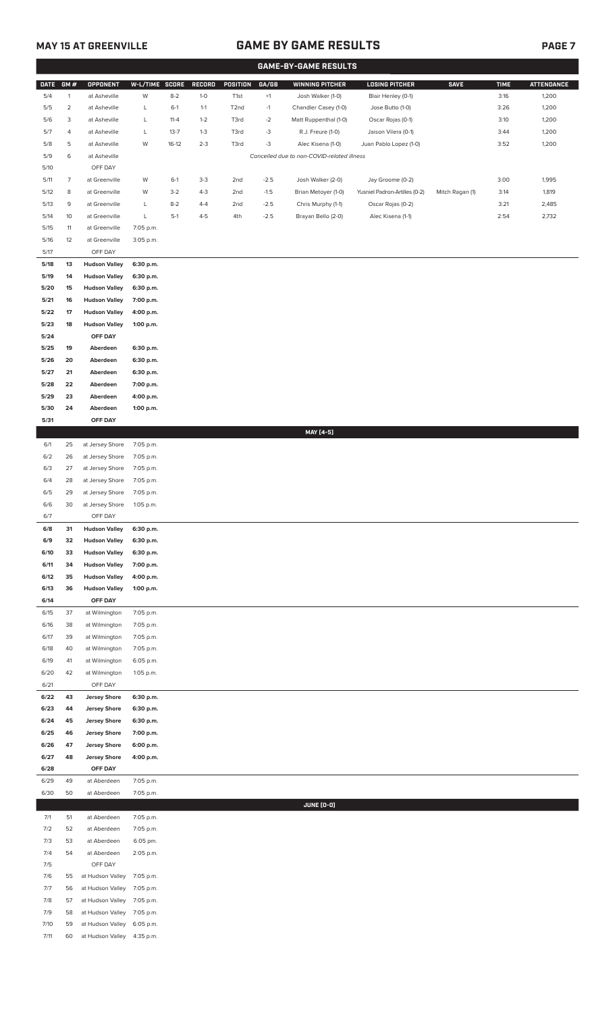# **MAY 15 AT GREENVILLE GAME BY GAME RESULTS**

|                | <b>GAME-BY-GAME RESULTS</b> |                                              |                        |          |         |                   |             |                                            |                               |                 |             |                   |
|----------------|-----------------------------|----------------------------------------------|------------------------|----------|---------|-------------------|-------------|--------------------------------------------|-------------------------------|-----------------|-------------|-------------------|
| <b>DATE</b>    | GM#                         | <b>OPPONENT</b>                              | W-L/TIME SCORE         |          | RECORD  | POSITION          | GA/GB       | <b>WINNING PITCHER</b>                     | <b>LOSING PITCHER</b>         | <b>SAVE</b>     | <b>TIME</b> | <b>ATTENDANCE</b> |
| 5/4            | $\mathbf{1}$                | at Asheville                                 | W                      | $8 - 2$  | $1-0$   | T <sub>1st</sub>  | $^{\rm +1}$ | Josh Walker (1-0)                          | Blair Henley (0-1)            |                 | 3:16        | 1,200             |
| 5/5            | $\overline{c}$              | at Asheville                                 | L                      | $6-1$    | $1-1$   | T <sub>2</sub> nd | $-1$        | Chandler Casey (1-0)                       | Jose Butto (1-0)              |                 | 3:26        | 1,200             |
| 5/6            | 3                           | at Asheville                                 | L                      | $11 - 4$ | $1 - 2$ | T3rd              | $-2$        | Matt Ruppenthal (1-0)                      | Oscar Rojas (0-1)             |                 | 3:10        | 1,200             |
| 5/7            | 4                           | at Asheville                                 | L                      | $13 - 7$ | $1 - 3$ | T3rd              | $-3$        | R.J. Freure (1-0)                          | Jaison Vilera (0-1)           |                 | 3:44        | 1,200             |
| 5/8            | 5                           | at Asheville                                 | W                      | $16-12$  | $2 - 3$ | T3rd              | $-3$        | Alec Kisena (1-0)                          | Juan Pablo Lopez (1-0)        |                 | 3:52        | 1,200             |
| 5/9            | 6                           | at Asheville                                 |                        |          |         |                   |             | Cancelled due to non-COVID-related illness |                               |                 |             |                   |
| $5/10$         |                             | OFF DAY                                      |                        |          |         |                   |             |                                            |                               |                 |             |                   |
| 5/11           | $\overline{7}$              | at Greenville                                | W                      | $6-1$    | $3-3$   | 2nd               | $-2.5$      | Josh Walker (2-0)                          | Jay Groome (0-2)              |                 | 3:00        | 1,995             |
| 5/12           | 8                           | at Greenville                                | W                      | $3-2$    | $4 - 3$ | 2nd               | $-1.5$      | Brian Metoyer (1-0)                        | Yusniel Padron-Artilles (0-2) | Mitch Ragan (1) | 3:14        | 1,819             |
| 5/13           | 9                           | at Greenville                                | L                      | $8 - 2$  | $4 - 4$ | 2nd               | $-2.5$      | Chris Murphy (1-1)                         | Oscar Rojas (0-2)             |                 | 3:21        | 2,485             |
| 5/14           | 10                          | at Greenville                                | L                      | $5-1$    | $4 - 5$ | 4th               | $-2.5$      | Brayan Bello (2-0)                         | Alec Kisena (1-1)             |                 | 2:54        | 2,732             |
|                | 11                          | at Greenville                                | 7:05 p.m.              |          |         |                   |             |                                            |                               |                 |             |                   |
| 5/15<br>$5/16$ | 12                          |                                              |                        |          |         |                   |             |                                            |                               |                 |             |                   |
| 5/17           |                             | at Greenville<br>OFF DAY                     | 3:05 p.m.              |          |         |                   |             |                                            |                               |                 |             |                   |
|                |                             |                                              |                        |          |         |                   |             |                                            |                               |                 |             |                   |
| 5/18<br>5/19   | 13<br>14                    | <b>Hudson Valley</b><br><b>Hudson Valley</b> | 6:30 p.m.<br>6:30 p.m. |          |         |                   |             |                                            |                               |                 |             |                   |
|                | 15                          |                                              |                        |          |         |                   |             |                                            |                               |                 |             |                   |
| 5/20           |                             | <b>Hudson Valley</b>                         | 6:30 p.m.              |          |         |                   |             |                                            |                               |                 |             |                   |
| 5/21           | 16                          | <b>Hudson Valley</b>                         | 7:00 p.m.              |          |         |                   |             |                                            |                               |                 |             |                   |
| 5/22           | 17                          | <b>Hudson Valley</b>                         | 4:00 p.m.              |          |         |                   |             |                                            |                               |                 |             |                   |
| 5/23           | 18                          | <b>Hudson Valley</b>                         | 1:00 p.m.              |          |         |                   |             |                                            |                               |                 |             |                   |
| 5/24           |                             | OFF DAY                                      |                        |          |         |                   |             |                                            |                               |                 |             |                   |
| 5/25           | 19                          | Aberdeen                                     | 6:30 p.m.              |          |         |                   |             |                                            |                               |                 |             |                   |
| 5/26           | 20                          | Aberdeen                                     | 6:30 p.m.              |          |         |                   |             |                                            |                               |                 |             |                   |
| 5/27           | 21                          | Aberdeen                                     | 6:30 p.m.              |          |         |                   |             |                                            |                               |                 |             |                   |
| 5/28           | 22                          | Aberdeen                                     | 7:00 p.m.              |          |         |                   |             |                                            |                               |                 |             |                   |
| 5/29           | 23                          | Aberdeen                                     | 4:00 p.m.              |          |         |                   |             |                                            |                               |                 |             |                   |
| 5/30           | 24                          | Aberdeen                                     | 1:00 p.m.              |          |         |                   |             |                                            |                               |                 |             |                   |
| 5/31           |                             | OFF DAY                                      |                        |          |         |                   |             |                                            |                               |                 |             |                   |
|                |                             |                                              |                        |          |         |                   |             | MAY [4-5]                                  |                               |                 |             |                   |
| 6/1            | 25                          | at Jersey Shore                              | 7:05 p.m.              |          |         |                   |             |                                            |                               |                 |             |                   |
| 6/2            | 26                          | at Jersey Shore                              | 7:05 p.m.              |          |         |                   |             |                                            |                               |                 |             |                   |
| 6/3            | 27                          | at Jersey Shore                              | 7:05 p.m.              |          |         |                   |             |                                            |                               |                 |             |                   |
| 6/4            | 28                          | at Jersey Shore                              | 7:05 p.m.              |          |         |                   |             |                                            |                               |                 |             |                   |
| 6/5            | 29                          | at Jersey Shore                              | 7:05 p.m.              |          |         |                   |             |                                            |                               |                 |             |                   |
| 6/6            | 30                          | at Jersey Shore                              | 1:05 p.m.              |          |         |                   |             |                                            |                               |                 |             |                   |
| 6/7            |                             | OFF DAY                                      |                        |          |         |                   |             |                                            |                               |                 |             |                   |
| 6/8            | 31                          | <b>Hudson Valley</b>                         | 6:30 p.m.              |          |         |                   |             |                                            |                               |                 |             |                   |
| 6/9            | 32                          | <b>Hudson Valley</b>                         | 6:30 p.m.              |          |         |                   |             |                                            |                               |                 |             |                   |
| 6/10           | 33                          | <b>Hudson Valley</b>                         | 6:30 p.m.              |          |         |                   |             |                                            |                               |                 |             |                   |
| 6/11           | 34                          | <b>Hudson Valley</b>                         | 7:00 p.m.              |          |         |                   |             |                                            |                               |                 |             |                   |
| 6/12           | 35                          | <b>Hudson Valley</b>                         | 4:00 p.m.              |          |         |                   |             |                                            |                               |                 |             |                   |
| 6/13           | 36                          | <b>Hudson Valley</b>                         | 1:00 p.m.              |          |         |                   |             |                                            |                               |                 |             |                   |
| 6/14           |                             | OFF DAY                                      |                        |          |         |                   |             |                                            |                               |                 |             |                   |
| 6/15           | 37                          | at Wilmington                                | 7:05 p.m.              |          |         |                   |             |                                            |                               |                 |             |                   |
| 6/16           | 38                          | at Wilmington                                | 7:05 p.m.              |          |         |                   |             |                                            |                               |                 |             |                   |
| 6/17           | 39                          | at Wilmington                                | 7:05 p.m.              |          |         |                   |             |                                            |                               |                 |             |                   |
| 6/18           | 40                          | at Wilmington                                | 7:05 p.m.              |          |         |                   |             |                                            |                               |                 |             |                   |
| 6/19           | 41                          | at Wilmington                                | 6:05 p.m.              |          |         |                   |             |                                            |                               |                 |             |                   |
| 6/20           | 42                          | at Wilmington                                | 1:05 p.m.              |          |         |                   |             |                                            |                               |                 |             |                   |
| 6/21           |                             | OFF DAY                                      |                        |          |         |                   |             |                                            |                               |                 |             |                   |
| 6/22           | 43                          | <b>Jersey Shore</b>                          | 6:30 p.m.              |          |         |                   |             |                                            |                               |                 |             |                   |
| 6/23           | 44                          | <b>Jersey Shore</b>                          | 6:30 p.m.              |          |         |                   |             |                                            |                               |                 |             |                   |
| 6/24           | 45                          | <b>Jersey Shore</b>                          | 6:30 p.m.              |          |         |                   |             |                                            |                               |                 |             |                   |
| 6/25           | 46                          | <b>Jersey Shore</b>                          | 7:00 p.m.              |          |         |                   |             |                                            |                               |                 |             |                   |
| 6/26           | 47                          | <b>Jersey Shore</b>                          | 6:00 p.m.              |          |         |                   |             |                                            |                               |                 |             |                   |
| 6/27           | 48                          | <b>Jersey Shore</b>                          | 4:00 p.m.              |          |         |                   |             |                                            |                               |                 |             |                   |
| 6/28           |                             | OFF DAY                                      |                        |          |         |                   |             |                                            |                               |                 |             |                   |
| 6/29           | 49                          | at Aberdeen                                  | 7:05 p.m.              |          |         |                   |             |                                            |                               |                 |             |                   |
| 6/30           | 50                          | at Aberdeen                                  | 7:05 p.m.              |          |         |                   |             |                                            |                               |                 |             |                   |
|                |                             |                                              |                        |          |         |                   |             | JUNE (0-0)                                 |                               |                 |             |                   |
| 7/1            | 51                          | at Aberdeen                                  | 7:05 p.m.              |          |         |                   |             |                                            |                               |                 |             |                   |
| 7/2            | 52                          | at Aberdeen                                  | 7:05 p.m.              |          |         |                   |             |                                            |                               |                 |             |                   |
| 7/3            | 53                          | at Aberdeen                                  | 6:05 pm.               |          |         |                   |             |                                            |                               |                 |             |                   |
| 7/4            | 54                          | at Aberdeen                                  | 2:05 p.m.              |          |         |                   |             |                                            |                               |                 |             |                   |
| 7/5            |                             | OFF DAY                                      |                        |          |         |                   |             |                                            |                               |                 |             |                   |
| 7/6            | 55                          | at Hudson Valley                             | 7:05 p.m.              |          |         |                   |             |                                            |                               |                 |             |                   |
| 7/7            | 56                          | at Hudson Valley                             | 7:05 p.m.              |          |         |                   |             |                                            |                               |                 |             |                   |
| 7/8            | 57                          | at Hudson Valley                             | 7:05 p.m.              |          |         |                   |             |                                            |                               |                 |             |                   |
| 7/9            | 58                          | at Hudson Valley                             | 7:05 p.m.              |          |         |                   |             |                                            |                               |                 |             |                   |
| 7/10           | 59                          | at Hudson Valley                             | 6:05 p.m.              |          |         |                   |             |                                            |                               |                 |             |                   |
| 7/11           | 60                          | at Hudson Valley                             | 4:35 p.m.              |          |         |                   |             |                                            |                               |                 |             |                   |
|                |                             |                                              |                        |          |         |                   |             |                                            |                               |                 |             |                   |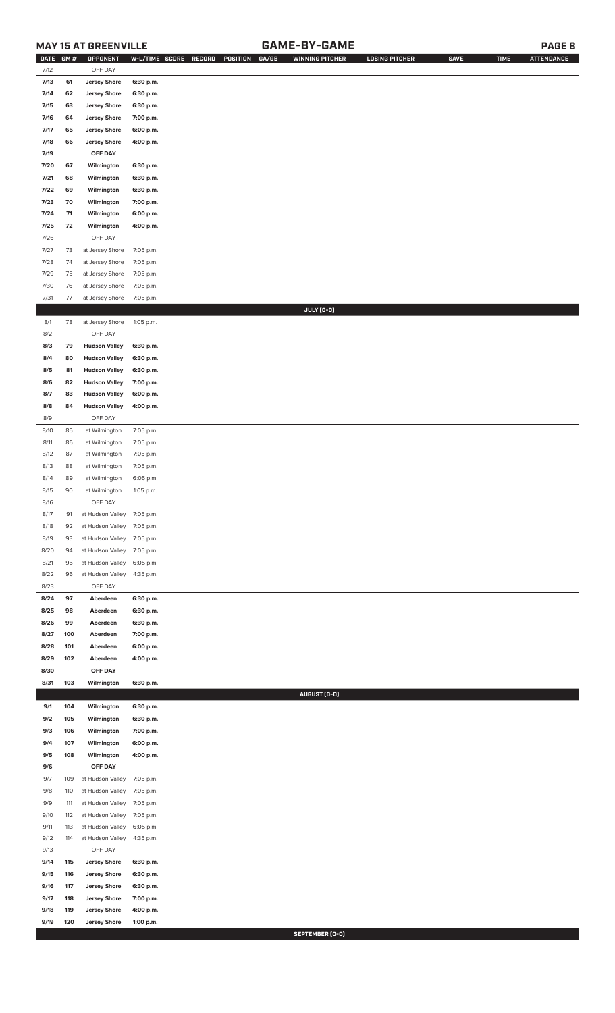# **MAY 15 AT GREENVILLE GAME-BY-GAME PAGE 8**

| <b>DATE</b> | GM# | OPPONENT                   | W-L/TIME SCORE | GA/GB<br>RECORD<br>POSITION | <b>WINNING PITCHER</b> | <b>LOSING PITCHER</b> | <b>SAVE</b> | <b>TIME</b> | <b>ATTENDANCE</b> |
|-------------|-----|----------------------------|----------------|-----------------------------|------------------------|-----------------------|-------------|-------------|-------------------|
| 7/12        |     | OFF DAY                    |                |                             |                        |                       |             |             |                   |
| 7/13        | 61  | <b>Jersey Shore</b>        | 6:30 p.m.      |                             |                        |                       |             |             |                   |
| 7/14        | 62  | <b>Jersey Shore</b>        | 6:30 p.m.      |                             |                        |                       |             |             |                   |
| 7/15        | 63  | <b>Jersey Shore</b>        | 6:30 p.m.      |                             |                        |                       |             |             |                   |
| 7/16        | 64  | <b>Jersey Shore</b>        | 7:00 p.m.      |                             |                        |                       |             |             |                   |
|             |     |                            |                |                             |                        |                       |             |             |                   |
| 7/17        | 65  | <b>Jersey Shore</b>        | 6:00 p.m.      |                             |                        |                       |             |             |                   |
| 7/18        | 66  | <b>Jersey Shore</b>        | 4:00 p.m.      |                             |                        |                       |             |             |                   |
| 7/19        |     | OFF DAY                    |                |                             |                        |                       |             |             |                   |
| 7/20        | 67  | Wilmington                 | 6:30 p.m.      |                             |                        |                       |             |             |                   |
| 7/21        | 68  | Wilmington                 | 6:30 p.m.      |                             |                        |                       |             |             |                   |
| 7/22        | 69  | Wilmington                 | 6:30 p.m.      |                             |                        |                       |             |             |                   |
| 7/23        | 70  | Wilmington                 | 7:00 p.m.      |                             |                        |                       |             |             |                   |
| 7/24        | 71  | Wilmington                 | 6:00 p.m.      |                             |                        |                       |             |             |                   |
| 7/25        | 72  | Wilmington                 | 4:00 p.m.      |                             |                        |                       |             |             |                   |
| 7/26        |     | OFF DAY                    |                |                             |                        |                       |             |             |                   |
| 7/27        | 73  | at Jersey Shore            | 7:05 p.m.      |                             |                        |                       |             |             |                   |
| 7/28        | 74  | at Jersey Shore            | 7:05 p.m.      |                             |                        |                       |             |             |                   |
|             |     |                            |                |                             |                        |                       |             |             |                   |
| 7/29        | 75  | at Jersey Shore            | 7:05 p.m.      |                             |                        |                       |             |             |                   |
| 7/30        | 76  | at Jersey Shore            | 7:05 p.m.      |                             |                        |                       |             |             |                   |
| 7/31        | 77  | at Jersey Shore            | 7:05 p.m.      |                             |                        |                       |             |             |                   |
|             |     |                            |                |                             | JULY (0-0)             |                       |             |             |                   |
| 8/1         | 78  | at Jersey Shore            | 1:05 p.m.      |                             |                        |                       |             |             |                   |
| 8/2         |     | OFF DAY                    |                |                             |                        |                       |             |             |                   |
| 8/3         | 79  | <b>Hudson Valley</b>       | 6:30 p.m.      |                             |                        |                       |             |             |                   |
| 8/4         | 80  | <b>Hudson Valley</b>       | 6:30 p.m.      |                             |                        |                       |             |             |                   |
| 8/5         | 81  | <b>Hudson Valley</b>       | 6:30 p.m.      |                             |                        |                       |             |             |                   |
| 8/6         | 82  | <b>Hudson Valley</b>       | 7:00 p.m.      |                             |                        |                       |             |             |                   |
| 8/7         | 83  | <b>Hudson Valley</b>       | 6:00 p.m.      |                             |                        |                       |             |             |                   |
| 8/8         | 84  | <b>Hudson Valley</b>       | 4:00 p.m.      |                             |                        |                       |             |             |                   |
| 8/9         |     | OFF DAY                    |                |                             |                        |                       |             |             |                   |
|             |     |                            |                |                             |                        |                       |             |             |                   |
| 8/10        | 85  | at Wilmington              | 7:05 p.m.      |                             |                        |                       |             |             |                   |
| 8/11        | 86  | at Wilmington              | 7:05 p.m.      |                             |                        |                       |             |             |                   |
| 8/12        | 87  | at Wilmington              | 7:05 p.m.      |                             |                        |                       |             |             |                   |
| 8/13        | 88  | at Wilmington              | 7:05 p.m.      |                             |                        |                       |             |             |                   |
| 8/14        | 89  | at Wilmington              | 6:05 p.m.      |                             |                        |                       |             |             |                   |
| 8/15        | 90  | at Wilmington              | 1:05 p.m.      |                             |                        |                       |             |             |                   |
| 8/16        |     | OFF DAY                    |                |                             |                        |                       |             |             |                   |
| 8/17        | 91  | at Hudson Valley 7:05 p.m. |                |                             |                        |                       |             |             |                   |
| 8/18        | 92  | at Hudson Valley 7:05 p.m. |                |                             |                        |                       |             |             |                   |
| 8/19        | 93  | at Hudson Valley 7:05 p.m. |                |                             |                        |                       |             |             |                   |
| 8/20        | 94  | at Hudson Valley           | 7:05 p.m.      |                             |                        |                       |             |             |                   |
| 8/21        | 95  | at Hudson Valley           | 6:05 p.m.      |                             |                        |                       |             |             |                   |
|             |     |                            |                |                             |                        |                       |             |             |                   |
| 8/22        | 96  | at Hudson Valley           | 4:35 p.m.      |                             |                        |                       |             |             |                   |
| 8/23        |     | OFF DAY                    |                |                             |                        |                       |             |             |                   |
| 8/24        | 97  | Aberdeen                   | 6:30 p.m.      |                             |                        |                       |             |             |                   |
| 8/25        | 98  | Aberdeen                   | 6:30 p.m.      |                             |                        |                       |             |             |                   |
| 8/26        | 99  | Aberdeen                   | 6:30 p.m.      |                             |                        |                       |             |             |                   |
| 8/27        | 100 | Aberdeen                   | 7:00 p.m.      |                             |                        |                       |             |             |                   |
| 8/28        | 101 | Aberdeen                   | 6:00 p.m.      |                             |                        |                       |             |             |                   |
| 8/29        | 102 | Aberdeen                   | 4:00 p.m.      |                             |                        |                       |             |             |                   |
| 8/30        |     | OFF DAY                    |                |                             |                        |                       |             |             |                   |
| 8/31        | 103 | Wilmington                 | 6:30 p.m.      |                             |                        |                       |             |             |                   |
|             |     |                            |                |                             | AUGUST (0-0)           |                       |             |             |                   |
| 9/1         | 104 | Wilmington                 | 6:30 p.m.      |                             |                        |                       |             |             |                   |
| 9/2         | 105 | Wilmington                 | 6:30 p.m.      |                             |                        |                       |             |             |                   |
| 9/3         | 106 | Wilmington                 | 7:00 p.m.      |                             |                        |                       |             |             |                   |
|             |     |                            |                |                             |                        |                       |             |             |                   |
| 9/4         | 107 | Wilmington                 | 6:00 p.m.      |                             |                        |                       |             |             |                   |
| 9/5         | 108 | Wilmington                 | 4:00 p.m.      |                             |                        |                       |             |             |                   |
| 9/6         |     | OFF DAY                    |                |                             |                        |                       |             |             |                   |
| 9/7         | 109 | at Hudson Valley           | 7:05 p.m.      |                             |                        |                       |             |             |                   |
| 9/8         | 110 | at Hudson Valley           | 7:05 p.m.      |                             |                        |                       |             |             |                   |
| 9/9         | 111 | at Hudson Valley           | 7:05 p.m.      |                             |                        |                       |             |             |                   |
| 9/10        | 112 | at Hudson Valley           | 7:05 p.m.      |                             |                        |                       |             |             |                   |
| 9/11        | 113 | at Hudson Valley           | 6:05 p.m.      |                             |                        |                       |             |             |                   |
| 9/12        | 114 | at Hudson Valley           | 4:35 p.m.      |                             |                        |                       |             |             |                   |
| 9/13        |     | OFF DAY                    |                |                             |                        |                       |             |             |                   |
| 9/14        | 115 | <b>Jersey Shore</b>        | 6:30 p.m.      |                             |                        |                       |             |             |                   |
| 9/15        |     |                            |                |                             |                        |                       |             |             |                   |
|             | 116 | <b>Jersey Shore</b>        | 6:30 p.m.      |                             |                        |                       |             |             |                   |
| 9/16        | 117 | <b>Jersey Shore</b>        | 6:30 p.m.      |                             |                        |                       |             |             |                   |
| 9/17        | 118 | <b>Jersey Shore</b>        | 7:00 p.m.      |                             |                        |                       |             |             |                   |
| 9/18        | 119 | <b>Jersey Shore</b>        | 4:00 p.m.      |                             |                        |                       |             |             |                   |
| 9/19        | 120 | <b>Jersey Shore</b>        | 1:00 p.m.      |                             |                        |                       |             |             |                   |

**SEPTEMBER (0-0)**